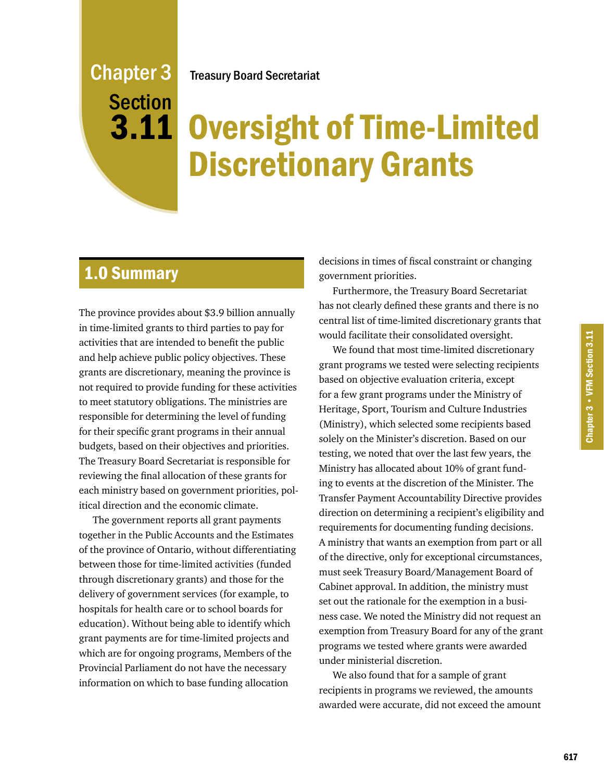## Treasury Board Secretariat

Chapter 3 **Section** 3.11

# Oversight of Time-Limited Discretionary Grants

# 1.0 Summary

The province provides about \$3.9 billion annually in time-limited grants to third parties to pay for activities that are intended to benefit the public and help achieve public policy objectives. These grants are discretionary, meaning the province is not required to provide funding for these activities to meet statutory obligations. The ministries are responsible for determining the level of funding for their specific grant programs in their annual budgets, based on their objectives and priorities. The Treasury Board Secretariat is responsible for reviewing the final allocation of these grants for each ministry based on government priorities, political direction and the economic climate.

The government reports all grant payments together in the Public Accounts and the Estimates of the province of Ontario, without differentiating between those for time-limited activities (funded through discretionary grants) and those for the delivery of government services (for example, to hospitals for health care or to school boards for education). Without being able to identify which grant payments are for time-limited projects and which are for ongoing programs, Members of the Provincial Parliament do not have the necessary information on which to base funding allocation

decisions in times of fiscal constraint or changing government priorities.

Furthermore, the Treasury Board Secretariat has not clearly defined these grants and there is no central list of time-limited discretionary grants that would facilitate their consolidated oversight.

We found that most time-limited discretionary grant programs we tested were selecting recipients based on objective evaluation criteria, except for a few grant programs under the Ministry of Heritage, Sport, Tourism and Culture Industries (Ministry), which selected some recipients based solely on the Minister's discretion. Based on our testing, we noted that over the last few years, the Ministry has allocated about 10% of grant funding to events at the discretion of the Minister. The Transfer Payment Accountability Directive provides direction on determining a recipient's eligibility and requirements for documenting funding decisions. A ministry that wants an exemption from part or all of the directive, only for exceptional circumstances, must seek Treasury Board/Management Board of Cabinet approval. In addition, the ministry must set out the rationale for the exemption in a business case. We noted the Ministry did not request an exemption from Treasury Board for any of the grant programs we tested where grants were awarded under ministerial discretion.

We also found that for a sample of grant recipients in programs we reviewed, the amounts awarded were accurate, did not exceed the amount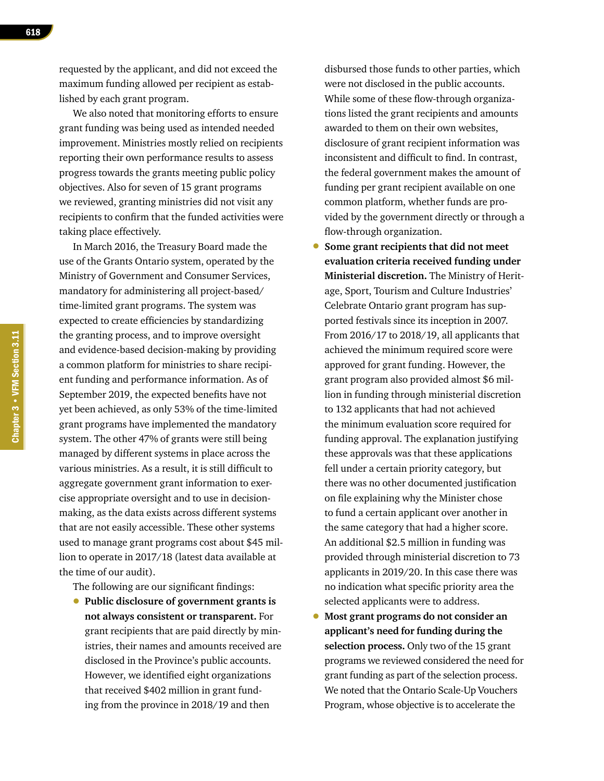requested by the applicant, and did not exceed the maximum funding allowed per recipient as established by each grant program.

We also noted that monitoring efforts to ensure grant funding was being used as intended needed improvement. Ministries mostly relied on recipients reporting their own performance results to assess progress towards the grants meeting public policy objectives. Also for seven of 15 grant programs we reviewed, granting ministries did not visit any recipients to confirm that the funded activities were taking place effectively.

In March 2016, the Treasury Board made the use of the Grants Ontario system, operated by the Ministry of Government and Consumer Services, mandatory for administering all project-based/ time-limited grant programs. The system was expected to create efficiencies by standardizing the granting process, and to improve oversight and evidence-based decision-making by providing a common platform for ministries to share recipient funding and performance information. As of September 2019, the expected benefits have not yet been achieved, as only 53% of the time-limited grant programs have implemented the mandatory system. The other 47% of grants were still being managed by different systems in place across the various ministries. As a result, it is still difficult to aggregate government grant information to exercise appropriate oversight and to use in decisionmaking, as the data exists across different systems that are not easily accessible. These other systems used to manage grant programs cost about \$45 million to operate in 2017/18 (latest data available at the time of our audit).

The following are our significant findings:

• **Public disclosure of government grants is not always consistent or transparent.** For grant recipients that are paid directly by ministries, their names and amounts received are disclosed in the Province's public accounts. However, we identified eight organizations that received \$402 million in grant funding from the province in 2018/19 and then

disbursed those funds to other parties, which were not disclosed in the public accounts. While some of these flow-through organizations listed the grant recipients and amounts awarded to them on their own websites, disclosure of grant recipient information was inconsistent and difficult to find. In contrast, the federal government makes the amount of funding per grant recipient available on one common platform, whether funds are provided by the government directly or through a flow-through organization.

- **Some grant recipients that did not meet evaluation criteria received funding under Ministerial discretion.** The Ministry of Heritage, Sport, Tourism and Culture Industries' Celebrate Ontario grant program has supported festivals since its inception in 2007. From 2016/17 to 2018/19, all applicants that achieved the minimum required score were approved for grant funding. However, the grant program also provided almost \$6 million in funding through ministerial discretion to 132 applicants that had not achieved the minimum evaluation score required for funding approval. The explanation justifying these approvals was that these applications fell under a certain priority category, but there was no other documented justification on file explaining why the Minister chose to fund a certain applicant over another in the same category that had a higher score. An additional \$2.5 million in funding was provided through ministerial discretion to 73 applicants in 2019/20. In this case there was no indication what specific priority area the selected applicants were to address.
- **Most grant programs do not consider an applicant's need for funding during the selection process.** Only two of the 15 grant programs we reviewed considered the need for grant funding as part of the selection process. We noted that the Ontario Scale-Up Vouchers Program, whose objective is to accelerate the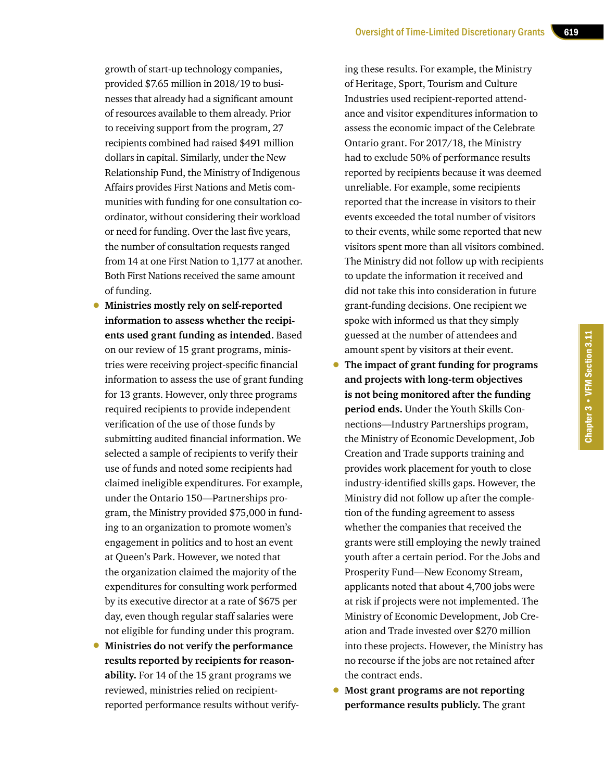growth of start-up technology companies, provided \$7.65 million in 2018/19 to businesses that already had a significant amount of resources available to them already. Prior to receiving support from the program, 27 recipients combined had raised \$491 million dollars in capital. Similarly, under the New Relationship Fund, the Ministry of Indigenous Affairs provides First Nations and Metis communities with funding for one consultation coordinator, without considering their workload or need for funding. Over the last five years, the number of consultation requests ranged from 14 at one First Nation to 1,177 at another. Both First Nations received the same amount of funding.

- **Ministries mostly rely on self-reported information to assess whether the recipients used grant funding as intended.** Based on our review of 15 grant programs, ministries were receiving project-specific financial information to assess the use of grant funding for 13 grants. However, only three programs required recipients to provide independent verification of the use of those funds by submitting audited financial information. We selected a sample of recipients to verify their use of funds and noted some recipients had claimed ineligible expenditures. For example, under the Ontario 150—Partnerships program, the Ministry provided \$75,000 in funding to an organization to promote women's engagement in politics and to host an event at Queen's Park. However, we noted that the organization claimed the majority of the expenditures for consulting work performed by its executive director at a rate of \$675 per day, even though regular staff salaries were not eligible for funding under this program.
- **Ministries do not verify the performance results reported by recipients for reasonability.** For 14 of the 15 grant programs we reviewed, ministries relied on recipientreported performance results without verify-

ing these results. For example, the Ministry of Heritage, Sport, Tourism and Culture Industries used recipient-reported attendance and visitor expenditures information to assess the economic impact of the Celebrate Ontario grant. For 2017/18, the Ministry had to exclude 50% of performance results reported by recipients because it was deemed unreliable. For example, some recipients reported that the increase in visitors to their events exceeded the total number of visitors to their events, while some reported that new visitors spent more than all visitors combined. The Ministry did not follow up with recipients to update the information it received and did not take this into consideration in future grant-funding decisions. One recipient we spoke with informed us that they simply guessed at the number of attendees and amount spent by visitors at their event.

- **The impact of grant funding for programs and projects with long-term objectives is not being monitored after the funding period ends.** Under the Youth Skills Connections—Industry Partnerships program, the Ministry of Economic Development, Job Creation and Trade supports training and provides work placement for youth to close industry-identified skills gaps. However, the Ministry did not follow up after the completion of the funding agreement to assess whether the companies that received the grants were still employing the newly trained youth after a certain period. For the Jobs and Prosperity Fund—New Economy Stream, applicants noted that about 4,700 jobs were at risk if projects were not implemented. The Ministry of Economic Development, Job Creation and Trade invested over \$270 million into these projects. However, the Ministry has no recourse if the jobs are not retained after the contract ends.
- **Most grant programs are not reporting performance results publicly.** The grant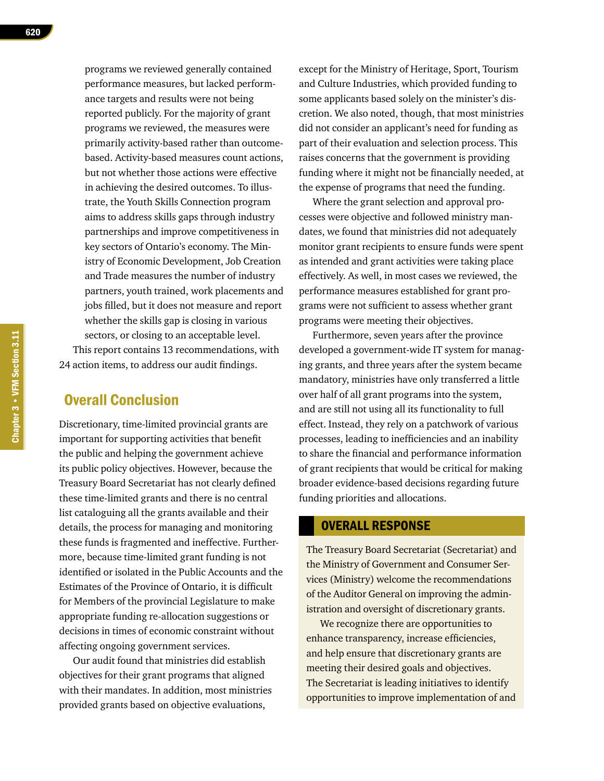programs we reviewed generally contained performance measures, but lacked performance targets and results were not being reported publicly. For the majority of grant programs we reviewed, the measures were primarily activity-based rather than outcomebased. Activity-based measures count actions, but not whether those actions were effective in achieving the desired outcomes. To illustrate, the Youth Skills Connection program aims to address skills gaps through industry partnerships and improve competitiveness in key sectors of Ontario's economy. The Ministry of Economic Development, Job Creation and Trade measures the number of industry partners, youth trained, work placements and jobs filled, but it does not measure and report whether the skills gap is closing in various sectors, or closing to an acceptable level. This report contains 13 recommendations, with

24 action items, to address our audit findings.

## Overall Conclusion

Discretionary, time-limited provincial grants are important for supporting activities that benefit the public and helping the government achieve its public policy objectives. However, because the Treasury Board Secretariat has not clearly defined these time-limited grants and there is no central list cataloguing all the grants available and their details, the process for managing and monitoring these funds is fragmented and ineffective. Furthermore, because time-limited grant funding is not identified or isolated in the Public Accounts and the Estimates of the Province of Ontario, it is difficult for Members of the provincial Legislature to make appropriate funding re-allocation suggestions or decisions in times of economic constraint without affecting ongoing government services.

Our audit found that ministries did establish objectives for their grant programs that aligned with their mandates. In addition, most ministries provided grants based on objective evaluations,

except for the Ministry of Heritage, Sport, Tourism and Culture Industries, which provided funding to some applicants based solely on the minister's discretion. We also noted, though, that most ministries did not consider an applicant's need for funding as part of their evaluation and selection process. This raises concerns that the government is providing funding where it might not be financially needed, at the expense of programs that need the funding.

Where the grant selection and approval processes were objective and followed ministry mandates, we found that ministries did not adequately monitor grant recipients to ensure funds were spent as intended and grant activities were taking place effectively. As well, in most cases we reviewed, the performance measures established for grant programs were not sufficient to assess whether grant programs were meeting their objectives.

Furthermore, seven years after the province developed a government-wide IT system for managing grants, and three years after the system became mandatory, ministries have only transferred a little over half of all grant programs into the system, and are still not using all its functionality to full effect. Instead, they rely on a patchwork of various processes, leading to inefficiencies and an inability to share the financial and performance information of grant recipients that would be critical for making broader evidence-based decisions regarding future funding priorities and allocations.

#### OVERALL RESPONSE

The Treasury Board Secretariat (Secretariat) and the Ministry of Government and Consumer Services (Ministry) welcome the recommendations of the Auditor General on improving the administration and oversight of discretionary grants.

We recognize there are opportunities to enhance transparency, increase efficiencies, and help ensure that discretionary grants are meeting their desired goals and objectives. The Secretariat is leading initiatives to identify opportunities to improve implementation of and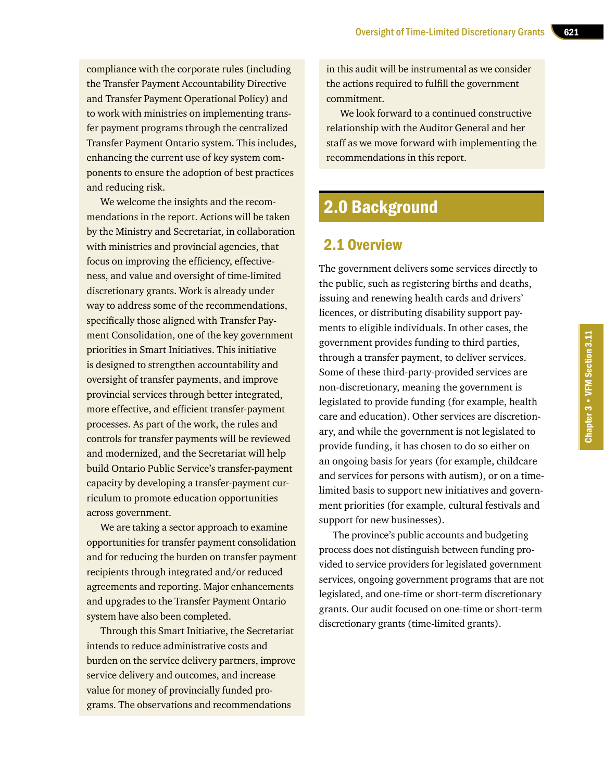compliance with the corporate rules (including the Transfer Payment Accountability Directive and Transfer Payment Operational Policy) and to work with ministries on implementing transfer payment programs through the centralized Transfer Payment Ontario system. This includes, enhancing the current use of key system components to ensure the adoption of best practices and reducing risk.

We welcome the insights and the recommendations in the report. Actions will be taken by the Ministry and Secretariat, in collaboration with ministries and provincial agencies, that focus on improving the efficiency, effectiveness, and value and oversight of time-limited discretionary grants. Work is already under way to address some of the recommendations, specifically those aligned with Transfer Payment Consolidation, one of the key government priorities in Smart Initiatives. This initiative is designed to strengthen accountability and oversight of transfer payments, and improve provincial services through better integrated, more effective, and efficient transfer-payment processes. As part of the work, the rules and controls for transfer payments will be reviewed and modernized, and the Secretariat will help build Ontario Public Service's transfer-payment capacity by developing a transfer-payment curriculum to promote education opportunities across government.

We are taking a sector approach to examine opportunities for transfer payment consolidation and for reducing the burden on transfer payment recipients through integrated and/or reduced agreements and reporting. Major enhancements and upgrades to the Transfer Payment Ontario system have also been completed.

Through this Smart Initiative, the Secretariat intends to reduce administrative costs and burden on the service delivery partners, improve service delivery and outcomes, and increase value for money of provincially funded programs. The observations and recommendations

in this audit will be instrumental as we consider the actions required to fulfill the government commitment.

We look forward to a continued constructive relationship with the Auditor General and her staff as we move forward with implementing the recommendations in this report.

# 2.0 Background

## 2.1 Overview

The government delivers some services directly to the public, such as registering births and deaths, issuing and renewing health cards and drivers' licences, or distributing disability support payments to eligible individuals. In other cases, the government provides funding to third parties, through a transfer payment, to deliver services. Some of these third-party-provided services are non-discretionary, meaning the government is legislated to provide funding (for example, health care and education). Other services are discretionary, and while the government is not legislated to provide funding, it has chosen to do so either on an ongoing basis for years (for example, childcare and services for persons with autism), or on a timelimited basis to support new initiatives and government priorities (for example, cultural festivals and support for new businesses).

The province's public accounts and budgeting process does not distinguish between funding provided to service providers for legislated government services, ongoing government programs that are not legislated, and one-time or short-term discretionary grants. Our audit focused on one-time or short-term discretionary grants (time-limited grants).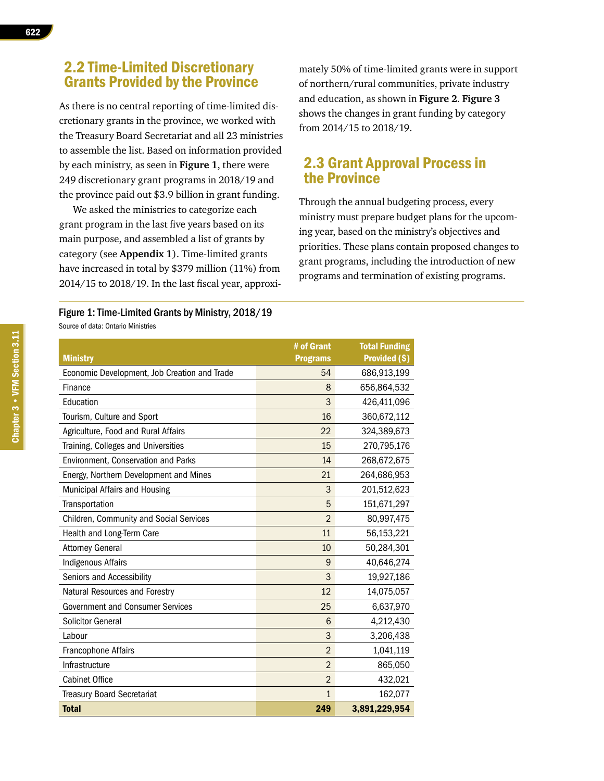## 2.2 Time-Limited Discretionary Grants Provided by the Province

As there is no central reporting of time-limited discretionary grants in the province, we worked with the Treasury Board Secretariat and all 23 ministries to assemble the list. Based on information provided by each ministry, as seen in **Figure 1**, there were 249 discretionary grant programs in 2018/19 and the province paid out \$3.9 billion in grant funding.

We asked the ministries to categorize each grant program in the last five years based on its main purpose, and assembled a list of grants by category (see **Appendix 1**). Time-limited grants have increased in total by \$379 million (11%) from 2014/15 to 2018/19. In the last fiscal year, approxi-

Figure 1: Time-Limited Grants by Ministry, 2018/19

Source of data: Ontario Ministries

mately 50% of time-limited grants were in support of northern/rural communities, private industry and education, as shown in **Figure 2**. **Figure 3** shows the changes in grant funding by category from 2014/15 to 2018/19.

## 2.3 Grant Approval Process in the Province

Through the annual budgeting process, every ministry must prepare budget plans for the upcoming year, based on the ministry's objectives and priorities. These plans contain proposed changes to grant programs, including the introduction of new programs and termination of existing programs.

| <b>Ministry</b>                              | # of Grant<br><b>Programs</b> | <b>Total Funding</b><br>Provided (\$) |
|----------------------------------------------|-------------------------------|---------------------------------------|
| Economic Development, Job Creation and Trade | 54                            | 686,913,199                           |
| Finance                                      | 8                             | 656,864,532                           |
| Education                                    | 3                             | 426,411,096                           |
| Tourism, Culture and Sport                   | 16                            | 360,672,112                           |
| Agriculture, Food and Rural Affairs          | 22                            | 324,389,673                           |
| Training, Colleges and Universities          | 15                            | 270,795,176                           |
| Environment, Conservation and Parks          | 14                            | 268,672,675                           |
| Energy, Northern Development and Mines       | 21                            | 264,686,953                           |
| Municipal Affairs and Housing                | 3                             | 201,512,623                           |
| Transportation                               | 5                             | 151,671,297                           |
| Children, Community and Social Services      | $\overline{2}$                | 80,997,475                            |
| Health and Long-Term Care                    | 11                            | 56,153,221                            |
| <b>Attorney General</b>                      | 10                            | 50,284,301                            |
| <b>Indigenous Affairs</b>                    | 9                             | 40,646,274                            |
| Seniors and Accessibility                    | 3                             | 19,927,186                            |
| Natural Resources and Forestry               | 12                            | 14,075,057                            |
| <b>Government and Consumer Services</b>      | 25                            | 6,637,970                             |
| <b>Solicitor General</b>                     | 6                             | 4,212,430                             |
| Labour                                       | 3                             | 3,206,438                             |
| Francophone Affairs                          | $\overline{2}$                | 1,041,119                             |
| Infrastructure                               | $\overline{2}$                | 865,050                               |
| <b>Cabinet Office</b>                        | $\overline{2}$                | 432,021                               |
| <b>Treasury Board Secretariat</b>            | $\overline{1}$                | 162,077                               |
| <b>Total</b>                                 | 249                           | 3,891,229,954                         |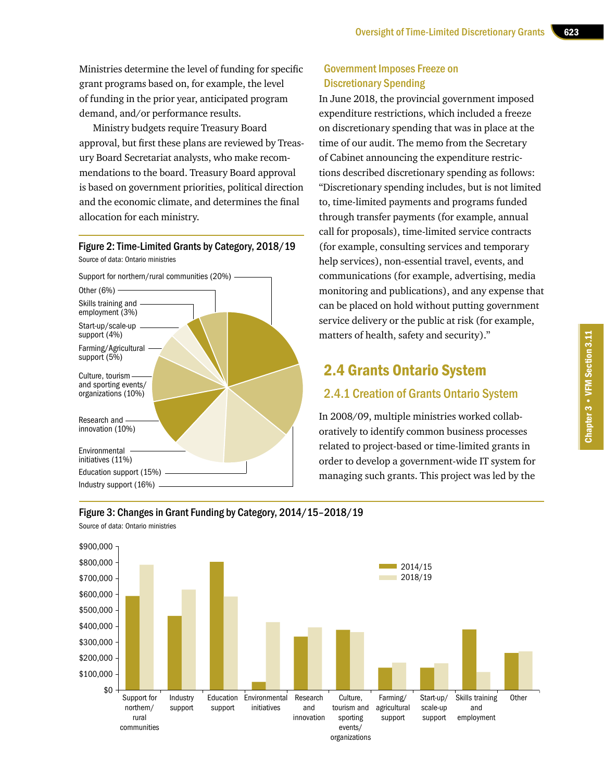Ministries determine the level of funding for specific grant programs based on, for example, the level of funding in the prior year, anticipated program demand, and/or performance results.

Ministry budgets require Treasury Board approval, but first these plans are reviewed by Treasury Board Secretariat analysts, who make recommendations to the board. Treasury Board approval is based on government priorities, political direction and the economic climate, and determines the final allocation for each ministry.

#### Figure 2: Time-Limited Grants by Category, 2018/19

Source of data: Ontario ministries



## Government Imposes Freeze on Discretionary Spending

In June 2018, the provincial government imposed expenditure restrictions, which included a freeze on discretionary spending that was in place at the time of our audit. The memo from the Secretary of Cabinet announcing the expenditure restrictions described discretionary spending as follows: "Discretionary spending includes, but is not limited to, time-limited payments and programs funded through transfer payments (for example, annual call for proposals), time-limited service contracts (for example, consulting services and temporary help services), non-essential travel, events, and communications (for example, advertising, media monitoring and publications), and any expense that can be placed on hold without putting government service delivery or the public at risk (for example, matters of health, safety and security)."

# 2.4 Grants Ontario System

#### 2.4.1 Creation of Grants Ontario System

In 2008/09, multiple ministries worked collaboratively to identify common business processes related to project-based or time-limited grants in order to develop a government-wide IT system for managing such grants. This project was led by the

#### Figure 3: Changes in Grant Funding by Category, 2014/15–2018/19

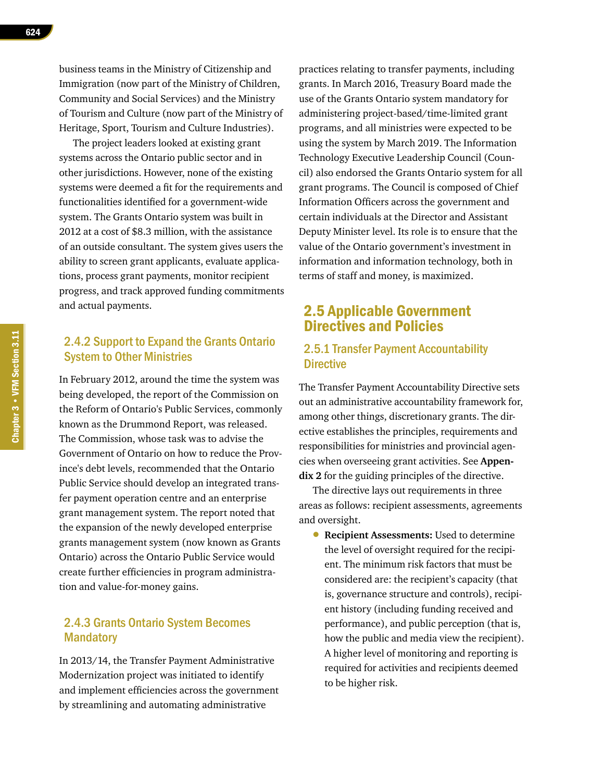business teams in the Ministry of Citizenship and Immigration (now part of the Ministry of Children, Community and Social Services) and the Ministry of Tourism and Culture (now part of the Ministry of Heritage, Sport, Tourism and Culture Industries).

The project leaders looked at existing grant systems across the Ontario public sector and in other jurisdictions. However, none of the existing systems were deemed a fit for the requirements and functionalities identified for a government-wide system. The Grants Ontario system was built in 2012 at a cost of \$8.3 million, with the assistance of an outside consultant. The system gives users the ability to screen grant applicants, evaluate applications, process grant payments, monitor recipient progress, and track approved funding commitments and actual payments.

## 2.4.2 Support to Expand the Grants Ontario System to Other Ministries

In February 2012, around the time the system was being developed, the report of the Commission on the Reform of Ontario's Public Services, commonly known as the Drummond Report, was released. The Commission, whose task was to advise the Government of Ontario on how to reduce the Province's debt levels, recommended that the Ontario Public Service should develop an integrated transfer payment operation centre and an enterprise grant management system. The report noted that the expansion of the newly developed enterprise grants management system (now known as Grants Ontario) across the Ontario Public Service would create further efficiencies in program administration and value-for-money gains.

#### 2.4.3 Grants Ontario System Becomes **Mandatory**

In 2013/14, the Transfer Payment Administrative Modernization project was initiated to identify and implement efficiencies across the government by streamlining and automating administrative

practices relating to transfer payments, including grants. In March 2016, Treasury Board made the use of the Grants Ontario system mandatory for administering project-based/time-limited grant programs, and all ministries were expected to be using the system by March 2019. The Information Technology Executive Leadership Council (Council) also endorsed the Grants Ontario system for all grant programs. The Council is composed of Chief Information Officers across the government and certain individuals at the Director and Assistant Deputy Minister level. Its role is to ensure that the value of the Ontario government's investment in information and information technology, both in terms of staff and money, is maximized.

## 2.5 Applicable Government Directives and Policies

#### 2.5.1 Transfer Payment Accountability **Directive**

The Transfer Payment Accountability Directive sets out an administrative accountability framework for, among other things, discretionary grants. The directive establishes the principles, requirements and responsibilities for ministries and provincial agencies when overseeing grant activities. See **Appendix 2** for the guiding principles of the directive.

The directive lays out requirements in three areas as follows: recipient assessments, agreements and oversight.

• **Recipient Assessments:** Used to determine the level of oversight required for the recipient. The minimum risk factors that must be considered are: the recipient's capacity (that is, governance structure and controls), recipient history (including funding received and performance), and public perception (that is, how the public and media view the recipient). A higher level of monitoring and reporting is required for activities and recipients deemed to be higher risk.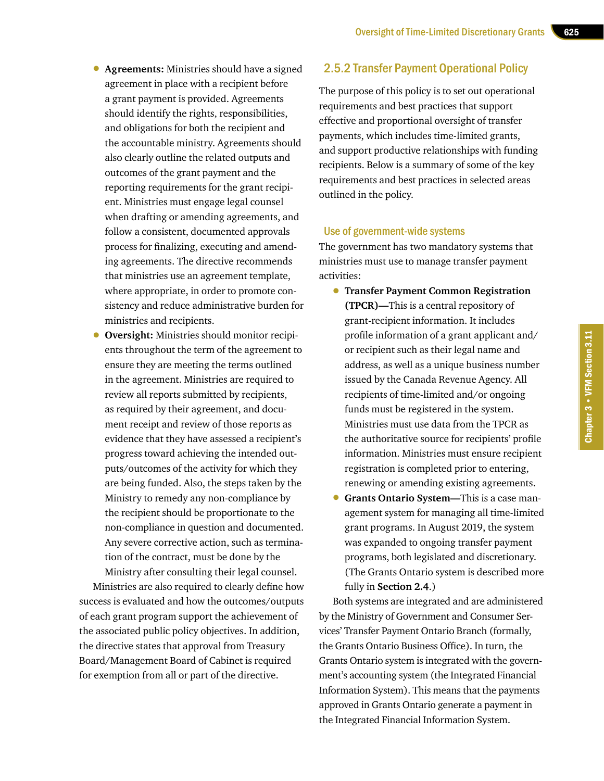- **Agreements:** Ministries should have a signed agreement in place with a recipient before a grant payment is provided. Agreements should identify the rights, responsibilities, and obligations for both the recipient and the accountable ministry. Agreements should also clearly outline the related outputs and outcomes of the grant payment and the reporting requirements for the grant recipient. Ministries must engage legal counsel when drafting or amending agreements, and follow a consistent, documented approvals process for finalizing, executing and amending agreements. The directive recommends that ministries use an agreement template, where appropriate, in order to promote consistency and reduce administrative burden for ministries and recipients.
- **Oversight:** Ministries should monitor recipients throughout the term of the agreement to ensure they are meeting the terms outlined in the agreement. Ministries are required to review all reports submitted by recipients, as required by their agreement, and document receipt and review of those reports as evidence that they have assessed a recipient's progress toward achieving the intended outputs/outcomes of the activity for which they are being funded. Also, the steps taken by the Ministry to remedy any non-compliance by the recipient should be proportionate to the non-compliance in question and documented. Any severe corrective action, such as termination of the contract, must be done by the Ministry after consulting their legal counsel.

Ministries are also required to clearly define how success is evaluated and how the outcomes/outputs of each grant program support the achievement of the associated public policy objectives. In addition, the directive states that approval from Treasury Board/Management Board of Cabinet is required for exemption from all or part of the directive.

#### 2.5.2 Transfer Payment Operational Policy

The purpose of this policy is to set out operational requirements and best practices that support effective and proportional oversight of transfer payments, which includes time-limited grants, and support productive relationships with funding recipients. Below is a summary of some of the key requirements and best practices in selected areas outlined in the policy.

#### Use of government-wide systems

The government has two mandatory systems that ministries must use to manage transfer payment activities:

- **Transfer Payment Common Registration (TPCR)—**This is a central repository of grant-recipient information. It includes profile information of a grant applicant and/ or recipient such as their legal name and address, as well as a unique business number issued by the Canada Revenue Agency. All recipients of time-limited and/or ongoing funds must be registered in the system. Ministries must use data from the TPCR as the authoritative source for recipients' profile information. Ministries must ensure recipient registration is completed prior to entering, renewing or amending existing agreements.
- **Grants Ontario System—**This is a case management system for managing all time-limited grant programs. In August 2019, the system was expanded to ongoing transfer payment programs, both legislated and discretionary. (The Grants Ontario system is described more fully in **Section 2.4**.)

Both systems are integrated and are administered by the Ministry of Government and Consumer Services' Transfer Payment Ontario Branch (formally, the Grants Ontario Business Office). In turn, the Grants Ontario system is integrated with the government's accounting system (the Integrated Financial Information System). This means that the payments approved in Grants Ontario generate a payment in the Integrated Financial Information System.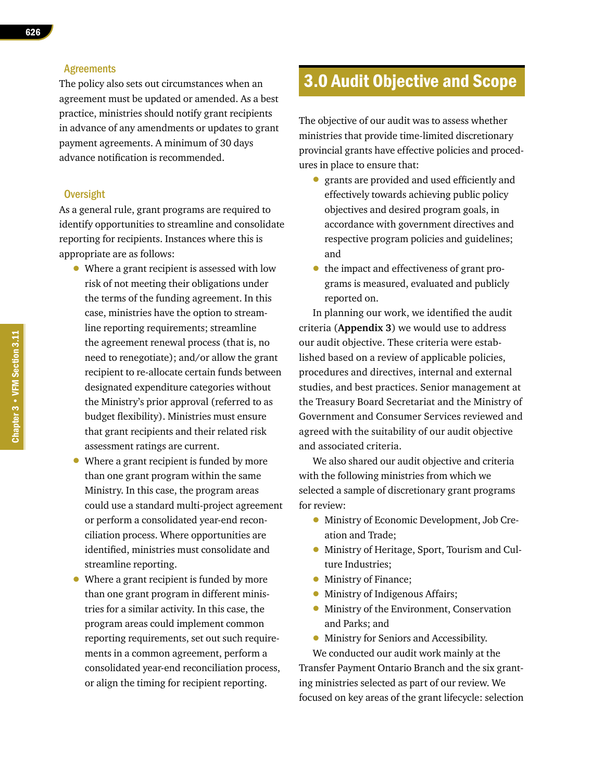#### **Agreements**

The policy also sets out circumstances when an agreement must be updated or amended. As a best practice, ministries should notify grant recipients in advance of any amendments or updates to grant payment agreements. A minimum of 30 days advance notification is recommended.

#### **Oversight**

As a general rule, grant programs are required to identify opportunities to streamline and consolidate reporting for recipients. Instances where this is appropriate are as follows:

- Where a grant recipient is assessed with low risk of not meeting their obligations under the terms of the funding agreement. In this case, ministries have the option to streamline reporting requirements; streamline the agreement renewal process (that is, no need to renegotiate); and/or allow the grant recipient to re-allocate certain funds between designated expenditure categories without the Ministry's prior approval (referred to as budget flexibility). Ministries must ensure that grant recipients and their related risk assessment ratings are current.
- Where a grant recipient is funded by more than one grant program within the same Ministry. In this case, the program areas could use a standard multi-project agreement or perform a consolidated year-end reconciliation process. Where opportunities are identified, ministries must consolidate and streamline reporting.
- Where a grant recipient is funded by more than one grant program in different ministries for a similar activity. In this case, the program areas could implement common reporting requirements, set out such requirements in a common agreement, perform a consolidated year-end reconciliation process, or align the timing for recipient reporting.

# 3.0 Audit Objective and Scope

The objective of our audit was to assess whether ministries that provide time-limited discretionary provincial grants have effective policies and procedures in place to ensure that:

- grants are provided and used efficiently and effectively towards achieving public policy objectives and desired program goals, in accordance with government directives and respective program policies and guidelines; and
- the impact and effectiveness of grant programs is measured, evaluated and publicly reported on.

In planning our work, we identified the audit criteria (**Appendix 3**) we would use to address our audit objective. These criteria were established based on a review of applicable policies, procedures and directives, internal and external studies, and best practices. Senior management at the Treasury Board Secretariat and the Ministry of Government and Consumer Services reviewed and agreed with the suitability of our audit objective and associated criteria.

We also shared our audit objective and criteria with the following ministries from which we selected a sample of discretionary grant programs for review:

- Ministry of Economic Development, Job Creation and Trade;
- Ministry of Heritage, Sport, Tourism and Culture Industries;
- Ministry of Finance;
- Ministry of Indigenous Affairs;
- Ministry of the Environment, Conservation and Parks; and
- Ministry for Seniors and Accessibility.

We conducted our audit work mainly at the Transfer Payment Ontario Branch and the six granting ministries selected as part of our review. We focused on key areas of the grant lifecycle: selection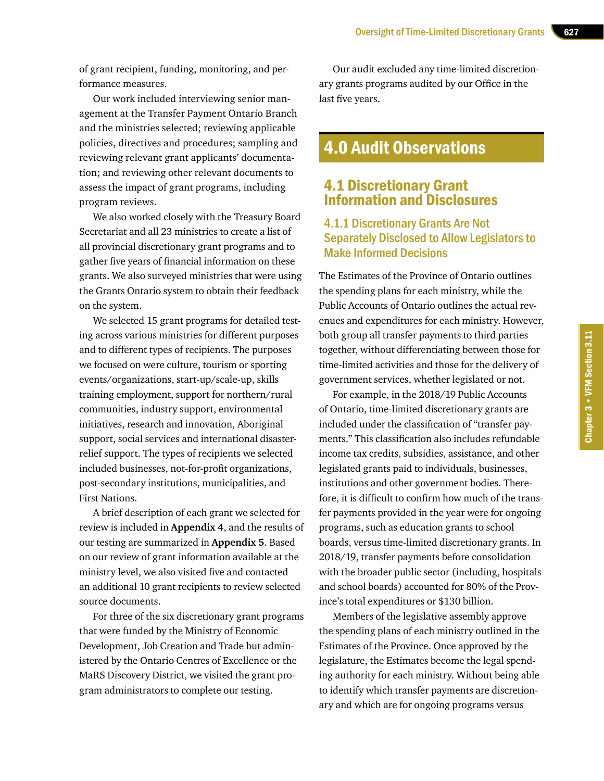of grant recipient, funding, monitoring, and performance measures.

Our work included interviewing senior management at the Transfer Payment Ontario Branch and the ministries selected; reviewing applicable policies, directives and procedures; sampling and reviewing relevant grant applicants' documentation; and reviewing other relevant documents to assess the impact of grant programs, including program reviews.

We also worked closely with the Treasury Board Secretariat and all 23 ministries to create a list of all provincial discretionary grant programs and to gather five years of financial information on these grants. We also surveyed ministries that were using the Grants Ontario system to obtain their feedback on the system.

We selected 15 grant programs for detailed testing across various ministries for different purposes and to different types of recipients. The purposes we focused on were culture, tourism or sporting events/organizations, start-up/scale-up, skills training employment, support for northern/rural communities, industry support, environmental initiatives, research and innovation, Aboriginal support, social services and international disasterrelief support. The types of recipients we selected included businesses, not-for-profit organizations, post-secondary institutions, municipalities, and First Nations.

A brief description of each grant we selected for review is included in **Appendix 4**, and the results of our testing are summarized in **Appendix 5**. Based on our review of grant information available at the ministry level, we also visited five and contacted an additional 10 grant recipients to review selected source documents.

For three of the six discretionary grant programs that were funded by the Ministry of Economic Development, Job Creation and Trade but administered by the Ontario Centres of Excellence or the MaRS Discovery District, we visited the grant program administrators to complete our testing.

Our audit excluded any time-limited discretionary grants programs audited by our Office in the last five years.

# 4.0 Audit Observations

## 4.1 Discretionary Grant Information and Disclosures

## 4.1.1 Discretionary Grants Are Not Separately Disclosed to Allow Legislators to Make Informed Decisions

The Estimates of the Province of Ontario outlines the spending plans for each ministry, while the Public Accounts of Ontario outlines the actual revenues and expenditures for each ministry. However, both group all transfer payments to third parties together, without differentiating between those for time-limited activities and those for the delivery of government services, whether legislated or not.

For example, in the 2018/19 Public Accounts of Ontario, time-limited discretionary grants are included under the classification of "transfer payments." This classification also includes refundable income tax credits, subsidies, assistance, and other legislated grants paid to individuals, businesses, institutions and other government bodies. Therefore, it is difficult to confirm how much of the transfer payments provided in the year were for ongoing programs, such as education grants to school boards, versus time-limited discretionary grants. In 2018/19, transfer payments before consolidation with the broader public sector (including, hospitals and school boards) accounted for 80% of the Province's total expenditures or \$130 billion.

Members of the legislative assembly approve the spending plans of each ministry outlined in the Estimates of the Province. Once approved by the legislature, the Estimates become the legal spending authority for each ministry. Without being able to identify which transfer payments are discretionary and which are for ongoing programs versus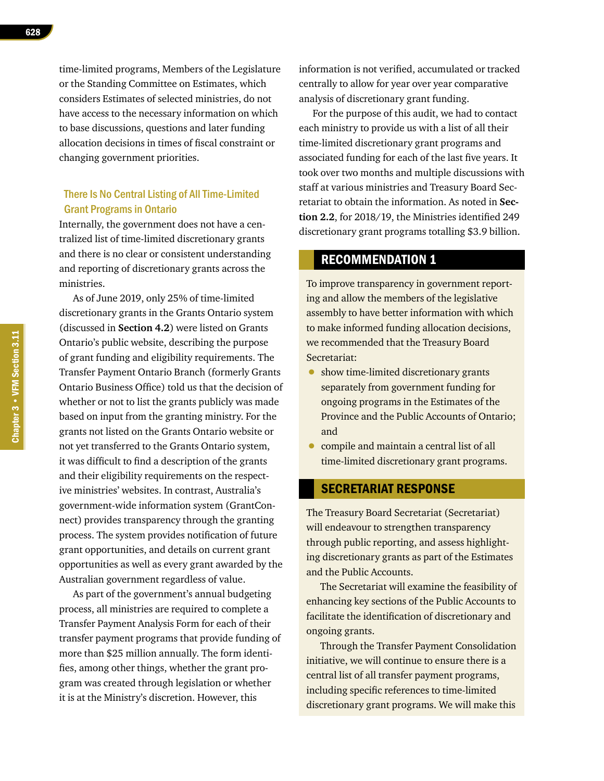time-limited programs, Members of the Legislature or the Standing Committee on Estimates, which considers Estimates of selected ministries, do not have access to the necessary information on which to base discussions, questions and later funding allocation decisions in times of fiscal constraint or changing government priorities.

#### There Is No Central Listing of All Time-Limited Grant Programs in Ontario

Internally, the government does not have a centralized list of time-limited discretionary grants and there is no clear or consistent understanding and reporting of discretionary grants across the ministries.

As of June 2019, only 25% of time-limited discretionary grants in the Grants Ontario system (discussed in **Section 4.2**) were listed on Grants Ontario's public website, describing the purpose of grant funding and eligibility requirements. The Transfer Payment Ontario Branch (formerly Grants Ontario Business Office) told us that the decision of whether or not to list the grants publicly was made based on input from the granting ministry. For the grants not listed on the Grants Ontario website or not yet transferred to the Grants Ontario system, it was difficult to find a description of the grants and their eligibility requirements on the respective ministries' websites. In contrast, Australia's government-wide information system (GrantConnect) provides transparency through the granting process. The system provides notification of future grant opportunities, and details on current grant opportunities as well as every grant awarded by the Australian government regardless of value.

As part of the government's annual budgeting process, all ministries are required to complete a Transfer Payment Analysis Form for each of their transfer payment programs that provide funding of more than \$25 million annually. The form identifies, among other things, whether the grant program was created through legislation or whether it is at the Ministry's discretion. However, this

information is not verified, accumulated or tracked centrally to allow for year over year comparative analysis of discretionary grant funding.

For the purpose of this audit, we had to contact each ministry to provide us with a list of all their time-limited discretionary grant programs and associated funding for each of the last five years. It took over two months and multiple discussions with staff at various ministries and Treasury Board Secretariat to obtain the information. As noted in **Section 2.2**, for 2018/19, the Ministries identified 249 discretionary grant programs totalling \$3.9 billion.

#### RECOMMENDATION 1

To improve transparency in government reporting and allow the members of the legislative assembly to have better information with which to make informed funding allocation decisions, we recommended that the Treasury Board Secretariat:

- show time-limited discretionary grants separately from government funding for ongoing programs in the Estimates of the Province and the Public Accounts of Ontario; and
- compile and maintain a central list of all time-limited discretionary grant programs.

#### SECRETARIAT RESPONSE

The Treasury Board Secretariat (Secretariat) will endeavour to strengthen transparency through public reporting, and assess highlighting discretionary grants as part of the Estimates and the Public Accounts.

The Secretariat will examine the feasibility of enhancing key sections of the Public Accounts to facilitate the identification of discretionary and ongoing grants.

Through the Transfer Payment Consolidation initiative, we will continue to ensure there is a central list of all transfer payment programs, including specific references to time-limited discretionary grant programs. We will make this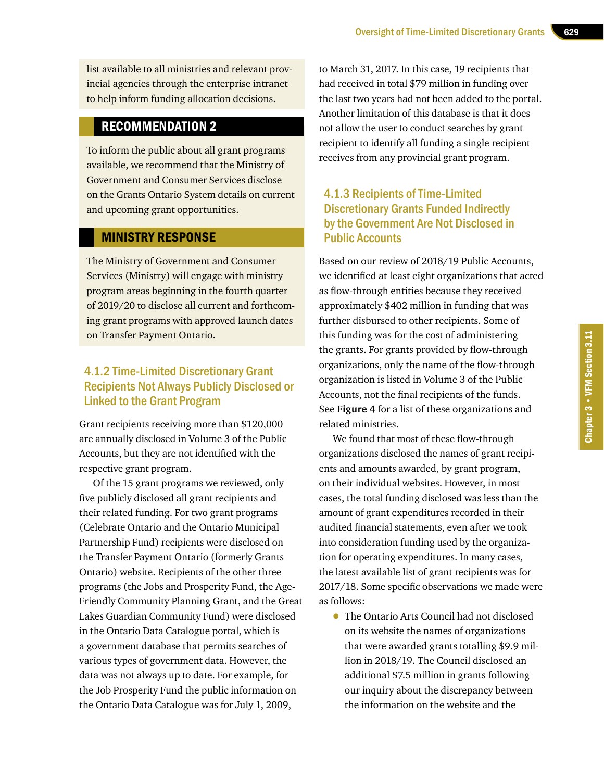list available to all ministries and relevant provincial agencies through the enterprise intranet to help inform funding allocation decisions.

## RECOMMENDATION 2

To inform the public about all grant programs available, we recommend that the Ministry of Government and Consumer Services disclose on the Grants Ontario System details on current and upcoming grant opportunities.

#### MINISTRY RESPONSE

The Ministry of Government and Consumer Services (Ministry) will engage with ministry program areas beginning in the fourth quarter of 2019/20 to disclose all current and forthcoming grant programs with approved launch dates on Transfer Payment Ontario.

## 4.1.2 Time-Limited Discretionary Grant Recipients Not Always Publicly Disclosed or Linked to the Grant Program

Grant recipients receiving more than \$120,000 are annually disclosed in Volume 3 of the Public Accounts, but they are not identified with the respective grant program.

Of the 15 grant programs we reviewed, only five publicly disclosed all grant recipients and their related funding. For two grant programs (Celebrate Ontario and the Ontario Municipal Partnership Fund) recipients were disclosed on the Transfer Payment Ontario (formerly Grants Ontario) website. Recipients of the other three programs (the Jobs and Prosperity Fund, the Age-Friendly Community Planning Grant, and the Great Lakes Guardian Community Fund) were disclosed in the Ontario Data Catalogue portal, which is a government database that permits searches of various types of government data. However, the data was not always up to date. For example, for the Job Prosperity Fund the public information on the Ontario Data Catalogue was for July 1, 2009,

to March 31, 2017. In this case, 19 recipients that had received in total \$79 million in funding over the last two years had not been added to the portal. Another limitation of this database is that it does not allow the user to conduct searches by grant recipient to identify all funding a single recipient receives from any provincial grant program.

## 4.1.3 Recipients of Time-Limited Discretionary Grants Funded Indirectly by the Government Are Not Disclosed in Public Accounts

Based on our review of 2018/19 Public Accounts, we identified at least eight organizations that acted as flow-through entities because they received approximately \$402 million in funding that was further disbursed to other recipients. Some of this funding was for the cost of administering the grants. For grants provided by flow-through organizations, only the name of the flow-through organization is listed in Volume 3 of the Public Accounts, not the final recipients of the funds. See **Figure 4** for a list of these organizations and related ministries.

We found that most of these flow-through organizations disclosed the names of grant recipients and amounts awarded, by grant program, on their individual websites. However, in most cases, the total funding disclosed was less than the amount of grant expenditures recorded in their audited financial statements, even after we took into consideration funding used by the organization for operating expenditures. In many cases, the latest available list of grant recipients was for 2017/18. Some specific observations we made were as follows:

• The Ontario Arts Council had not disclosed on its website the names of organizations that were awarded grants totalling \$9.9 million in 2018/19. The Council disclosed an additional \$7.5 million in grants following our inquiry about the discrepancy between the information on the website and the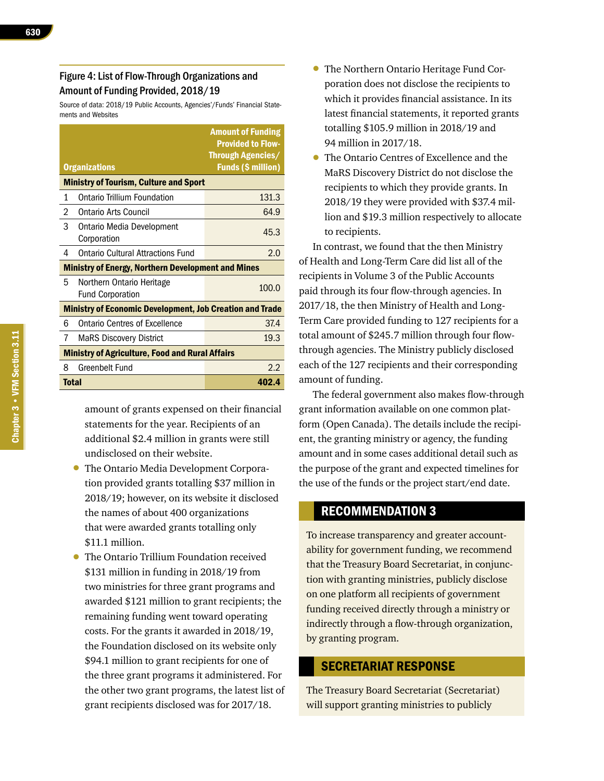#### Figure 4: List of Flow-Through Organizations and Amount of Funding Provided, 2018/19

Source of data: 2018/19 Public Accounts, Agencies'/Funds' Financial Statements and Websites

|       |                                                                 | <b>Amount of Funding</b><br><b>Provided to Flow-</b>  |
|-------|-----------------------------------------------------------------|-------------------------------------------------------|
|       | <b>Organizations</b>                                            | <b>Through Agencies/</b><br><b>Funds (\$ million)</b> |
|       | <b>Ministry of Tourism, Culture and Sport</b>                   |                                                       |
| 1     | Ontario Trillium Foundation                                     | 131.3                                                 |
| 2     | Ontario Arts Council                                            | 64.9                                                  |
| 3     | <b>Ontario Media Development</b><br>Corporation                 | 45.3                                                  |
| 4     | <b>Ontario Cultural Attractions Fund</b>                        | 2.0                                                   |
|       | <b>Ministry of Energy, Northern Development and Mines</b>       |                                                       |
| 5     | Northern Ontario Heritage<br><b>Fund Corporation</b>            | 100.0                                                 |
|       | <b>Ministry of Economic Development, Job Creation and Trade</b> |                                                       |
| 6     | Ontario Centres of Excellence                                   | 37.4                                                  |
| 7     | <b>MaRS Discovery District</b>                                  | 19.3                                                  |
|       | <b>Ministry of Agriculture, Food and Rural Affairs</b>          |                                                       |
| 8     | Greenbelt Fund                                                  | 2.2                                                   |
| Total |                                                                 | 402.4                                                 |

amount of grants expensed on their financial statements for the year. Recipients of an additional \$2.4 million in grants were still undisclosed on their website.

- The Ontario Media Development Corporation provided grants totalling \$37 million in 2018/19; however, on its website it disclosed the names of about 400 organizations that were awarded grants totalling only \$11.1 million.
- The Ontario Trillium Foundation received \$131 million in funding in 2018/19 from two ministries for three grant programs and awarded \$121 million to grant recipients; the remaining funding went toward operating costs. For the grants it awarded in 2018/19, the Foundation disclosed on its website only \$94.1 million to grant recipients for one of the three grant programs it administered. For the other two grant programs, the latest list of grant recipients disclosed was for 2017/18.
- The Northern Ontario Heritage Fund Corporation does not disclose the recipients to which it provides financial assistance. In its latest financial statements, it reported grants totalling \$105.9 million in 2018/19 and 94 million in 2017/18.
- The Ontario Centres of Excellence and the MaRS Discovery District do not disclose the recipients to which they provide grants. In 2018/19 they were provided with \$37.4 million and \$19.3 million respectively to allocate to recipients.

In contrast, we found that the then Ministry of Health and Long-Term Care did list all of the recipients in Volume 3 of the Public Accounts paid through its four flow-through agencies. In 2017/18, the then Ministry of Health and Long-Term Care provided funding to 127 recipients for a total amount of \$245.7 million through four flowthrough agencies. The Ministry publicly disclosed each of the 127 recipients and their corresponding amount of funding.

The federal government also makes flow-through grant information available on one common platform (Open Canada). The details include the recipient, the granting ministry or agency, the funding amount and in some cases additional detail such as the purpose of the grant and expected timelines for the use of the funds or the project start/end date.

#### RECOMMENDATION 3

To increase transparency and greater accountability for government funding, we recommend that the Treasury Board Secretariat, in conjunction with granting ministries, publicly disclose on one platform all recipients of government funding received directly through a ministry or indirectly through a flow-through organization, by granting program.

#### SECRETARIAT RESPONSE

The Treasury Board Secretariat (Secretariat) will support granting ministries to publicly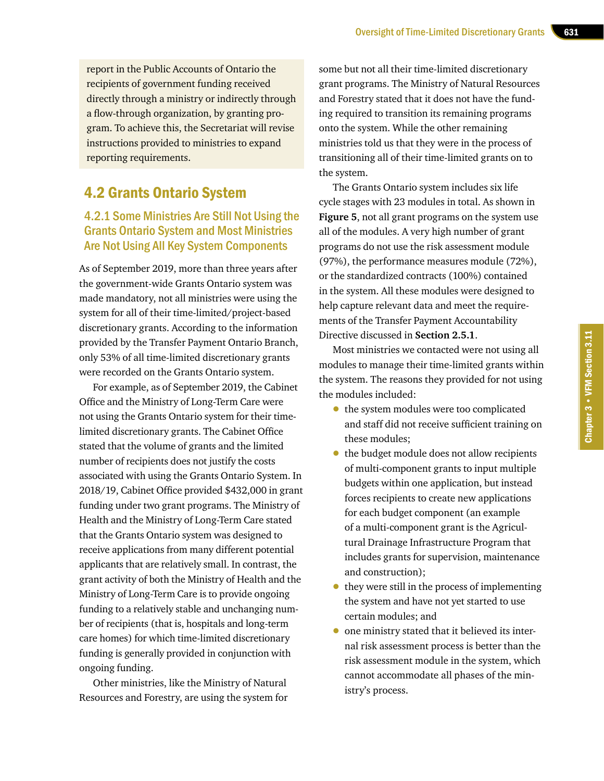report in the Public Accounts of Ontario the recipients of government funding received directly through a ministry or indirectly through a flow-through organization, by granting program. To achieve this, the Secretariat will revise instructions provided to ministries to expand reporting requirements.

# 4.2 Grants Ontario System

## 4.2.1 Some Ministries Are Still Not Using the Grants Ontario System and Most Ministries Are Not Using All Key System Components

As of September 2019, more than three years after the government-wide Grants Ontario system was made mandatory, not all ministries were using the system for all of their time-limited/project-based discretionary grants. According to the information provided by the Transfer Payment Ontario Branch, only 53% of all time-limited discretionary grants were recorded on the Grants Ontario system.

For example, as of September 2019, the Cabinet Office and the Ministry of Long-Term Care were not using the Grants Ontario system for their timelimited discretionary grants. The Cabinet Office stated that the volume of grants and the limited number of recipients does not justify the costs associated with using the Grants Ontario System. In 2018/19, Cabinet Office provided \$432,000 in grant funding under two grant programs. The Ministry of Health and the Ministry of Long-Term Care stated that the Grants Ontario system was designed to receive applications from many different potential applicants that are relatively small. In contrast, the grant activity of both the Ministry of Health and the Ministry of Long-Term Care is to provide ongoing funding to a relatively stable and unchanging number of recipients (that is, hospitals and long-term care homes) for which time-limited discretionary funding is generally provided in conjunction with ongoing funding.

Other ministries, like the Ministry of Natural Resources and Forestry, are using the system for

some but not all their time-limited discretionary grant programs. The Ministry of Natural Resources and Forestry stated that it does not have the funding required to transition its remaining programs onto the system. While the other remaining ministries told us that they were in the process of transitioning all of their time-limited grants on to the system.

The Grants Ontario system includes six life cycle stages with 23 modules in total. As shown in **Figure 5**, not all grant programs on the system use all of the modules. A very high number of grant programs do not use the risk assessment module (97%), the performance measures module (72%), or the standardized contracts (100%) contained in the system. All these modules were designed to help capture relevant data and meet the requirements of the Transfer Payment Accountability Directive discussed in **Section 2.5.1**.

Most ministries we contacted were not using all modules to manage their time-limited grants within the system. The reasons they provided for not using the modules included:

- the system modules were too complicated and staff did not receive sufficient training on these modules;
- the budget module does not allow recipients of multi-component grants to input multiple budgets within one application, but instead forces recipients to create new applications for each budget component (an example of a multi-component grant is the Agricultural Drainage Infrastructure Program that includes grants for supervision, maintenance and construction);
- they were still in the process of implementing the system and have not yet started to use certain modules; and
- one ministry stated that it believed its internal risk assessment process is better than the risk assessment module in the system, which cannot accommodate all phases of the ministry's process.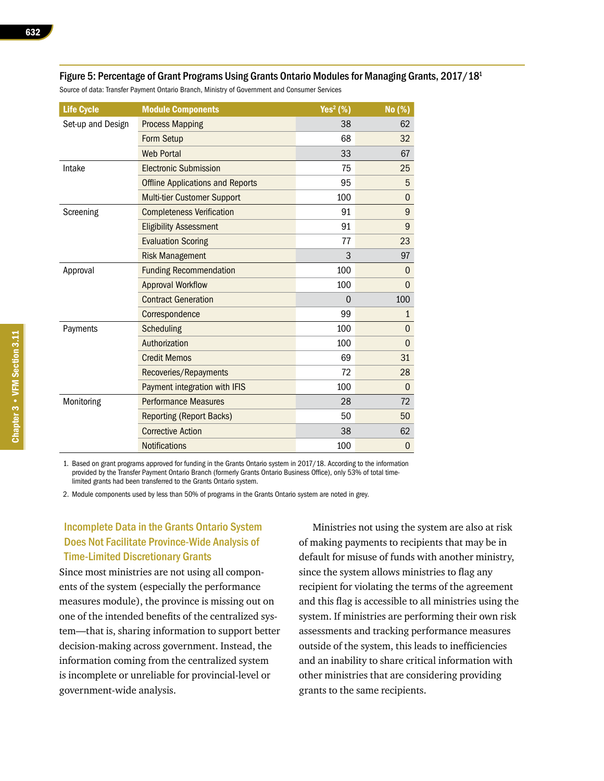| <b>Life Cycle</b> | <b>Module Components</b>                | Yes $2$ (%) | No (%)           |
|-------------------|-----------------------------------------|-------------|------------------|
| Set-up and Design | <b>Process Mapping</b>                  | 38          | 62               |
|                   | Form Setup                              | 68          | 32               |
|                   | <b>Web Portal</b>                       | 33          | 67               |
| Intake            | <b>Electronic Submission</b>            | 75          | 25               |
|                   | <b>Offline Applications and Reports</b> | 95          | 5                |
|                   | Multi-tier Customer Support             | 100         | $\overline{0}$   |
| Screening         | <b>Completeness Verification</b>        | 91          | $\boldsymbol{9}$ |
|                   | <b>Eligibility Assessment</b>           | 91          | 9                |
|                   | <b>Evaluation Scoring</b>               | 77          | 23               |
|                   | <b>Risk Management</b>                  | 3           | 97               |
| Approval          | <b>Funding Recommendation</b>           | 100         | $\Omega$         |
|                   | <b>Approval Workflow</b>                | 100         | $\Omega$         |
|                   | <b>Contract Generation</b>              | $\Omega$    | 100              |
|                   | Correspondence                          | 99          | $\mathbf{1}$     |
| Payments          | Scheduling                              | 100         | 0                |
|                   | Authorization                           | 100         | $\mathbf 0$      |
|                   | <b>Credit Memos</b>                     | 69          | 31               |
|                   | Recoveries/Repayments                   | 72          | 28               |
|                   | Payment integration with IFIS           | 100         | $\mathbf{0}$     |
| Monitoring        | <b>Performance Measures</b>             | 28          | 72               |
|                   | <b>Reporting (Report Backs)</b>         | 50          | 50               |
|                   | <b>Corrective Action</b>                | 38          | 62               |
|                   | <b>Notifications</b>                    | 100         | $\overline{0}$   |

Figure 5: Percentage of Grant Programs Using Grants Ontario Modules for Managing Grants, 2017/18<sup>1</sup>

Source of data: Transfer Payment Ontario Branch, Ministry of Government and Consumer Services

1. Based on grant programs approved for funding in the Grants Ontario system in 2017/18. According to the information provided by the Transfer Payment Ontario Branch (formerly Grants Ontario Business Office), only 53% of total timelimited grants had been transferred to the Grants Ontario system.

2. Module components used by less than 50% of programs in the Grants Ontario system are noted in grey.

#### Incomplete Data in the Grants Ontario System Does Not Facilitate Province-Wide Analysis of Time-Limited Discretionary Grants

Since most ministries are not using all components of the system (especially the performance measures module), the province is missing out on one of the intended benefits of the centralized system—that is, sharing information to support better decision-making across government. Instead, the information coming from the centralized system is incomplete or unreliable for provincial-level or government-wide analysis.

Ministries not using the system are also at risk of making payments to recipients that may be in default for misuse of funds with another ministry, since the system allows ministries to flag any recipient for violating the terms of the agreement and this flag is accessible to all ministries using the system. If ministries are performing their own risk assessments and tracking performance measures outside of the system, this leads to inefficiencies and an inability to share critical information with other ministries that are considering providing grants to the same recipients.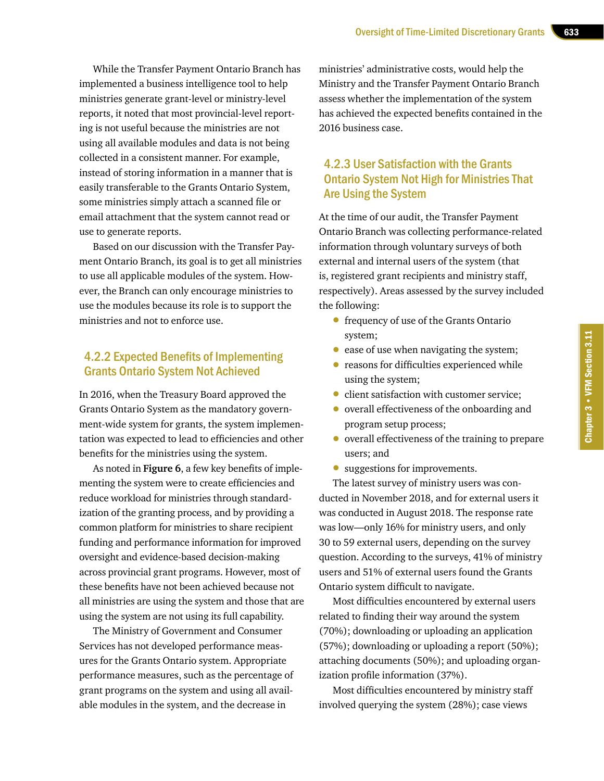While the Transfer Payment Ontario Branch has implemented a business intelligence tool to help ministries generate grant-level or ministry-level reports, it noted that most provincial-level reporting is not useful because the ministries are not using all available modules and data is not being collected in a consistent manner. For example, instead of storing information in a manner that is easily transferable to the Grants Ontario System, some ministries simply attach a scanned file or email attachment that the system cannot read or use to generate reports.

Based on our discussion with the Transfer Payment Ontario Branch, its goal is to get all ministries to use all applicable modules of the system. However, the Branch can only encourage ministries to use the modules because its role is to support the ministries and not to enforce use.

#### 4.2.2 Expected Benefits of Implementing Grants Ontario System Not Achieved

In 2016, when the Treasury Board approved the Grants Ontario System as the mandatory government-wide system for grants, the system implementation was expected to lead to efficiencies and other benefits for the ministries using the system.

As noted in **Figure 6**, a few key benefits of implementing the system were to create efficiencies and reduce workload for ministries through standardization of the granting process, and by providing a common platform for ministries to share recipient funding and performance information for improved oversight and evidence-based decision-making across provincial grant programs. However, most of these benefits have not been achieved because not all ministries are using the system and those that are using the system are not using its full capability.

The Ministry of Government and Consumer Services has not developed performance measures for the Grants Ontario system. Appropriate performance measures, such as the percentage of grant programs on the system and using all available modules in the system, and the decrease in

ministries' administrative costs, would help the Ministry and the Transfer Payment Ontario Branch assess whether the implementation of the system has achieved the expected benefits contained in the 2016 business case.

## 4.2.3 User Satisfaction with the Grants Ontario System Not High for Ministries That Are Using the System

At the time of our audit, the Transfer Payment Ontario Branch was collecting performance-related information through voluntary surveys of both external and internal users of the system (that is, registered grant recipients and ministry staff, respectively). Areas assessed by the survey included the following:

- frequency of use of the Grants Ontario system;
- ease of use when navigating the system;
- reasons for difficulties experienced while using the system;
- client satisfaction with customer service;
- overall effectiveness of the onboarding and program setup process;
- overall effectiveness of the training to prepare users; and
- suggestions for improvements.

The latest survey of ministry users was conducted in November 2018, and for external users it was conducted in August 2018. The response rate was low—only 16% for ministry users, and only 30 to 59 external users, depending on the survey question. According to the surveys, 41% of ministry users and 51% of external users found the Grants Ontario system difficult to navigate.

Most difficulties encountered by external users related to finding their way around the system (70%); downloading or uploading an application (57%); downloading or uploading a report (50%); attaching documents (50%); and uploading organization profile information (37%).

Most difficulties encountered by ministry staff involved querying the system (28%); case views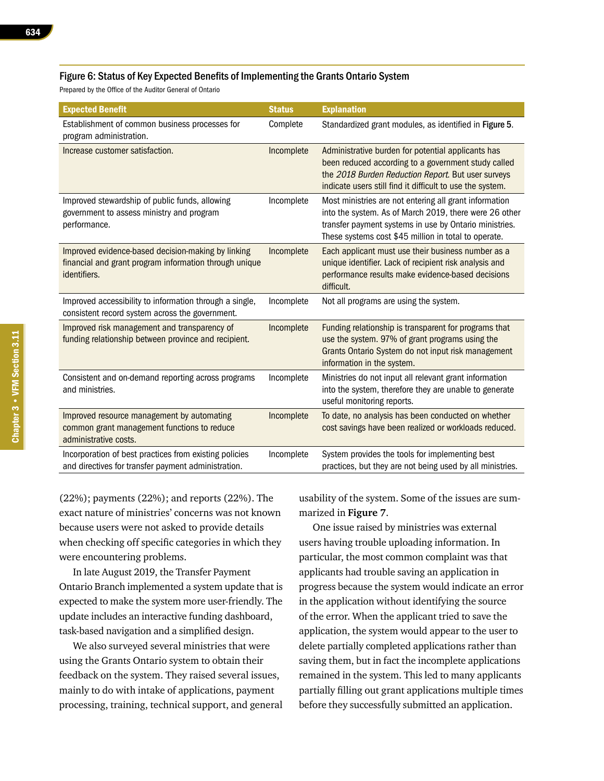#### Figure 6: Status of Key Expected Benefits of Implementing the Grants Ontario System

Prepared by the Office of the Auditor General of Ontario

| <b>Expected Benefit</b>                                                                                                      | <b>Status</b> | <b>Explanation</b>                                                                                                                                                                                                                 |
|------------------------------------------------------------------------------------------------------------------------------|---------------|------------------------------------------------------------------------------------------------------------------------------------------------------------------------------------------------------------------------------------|
| Establishment of common business processes for<br>program administration.                                                    | Complete      | Standardized grant modules, as identified in Figure 5.                                                                                                                                                                             |
| Increase customer satisfaction.                                                                                              | Incomplete    | Administrative burden for potential applicants has<br>been reduced according to a government study called<br>the 2018 Burden Reduction Report. But user surveys<br>indicate users still find it difficult to use the system.       |
| Improved stewardship of public funds, allowing<br>government to assess ministry and program<br>performance.                  | Incomplete    | Most ministries are not entering all grant information<br>into the system. As of March 2019, there were 26 other<br>transfer payment systems in use by Ontario ministries.<br>These systems cost \$45 million in total to operate. |
| Improved evidence-based decision-making by linking<br>financial and grant program information through unique<br>identifiers. | Incomplete    | Each applicant must use their business number as a<br>unique identifier. Lack of recipient risk analysis and<br>performance results make evidence-based decisions<br>difficult.                                                    |
| Improved accessibility to information through a single,<br>consistent record system across the government.                   | Incomplete    | Not all programs are using the system.                                                                                                                                                                                             |
| Improved risk management and transparency of<br>funding relationship between province and recipient.                         | Incomplete    | Funding relationship is transparent for programs that<br>use the system. 97% of grant programs using the<br>Grants Ontario System do not input risk management<br>information in the system.                                       |
| Consistent and on-demand reporting across programs<br>and ministries.                                                        | Incomplete    | Ministries do not input all relevant grant information<br>into the system, therefore they are unable to generate<br>useful monitoring reports.                                                                                     |
| Improved resource management by automating<br>common grant management functions to reduce<br>administrative costs.           | Incomplete    | To date, no analysis has been conducted on whether<br>cost savings have been realized or workloads reduced.                                                                                                                        |
| Incorporation of best practices from existing policies<br>and directives for transfer payment administration.                | Incomplete    | System provides the tools for implementing best<br>practices, but they are not being used by all ministries.                                                                                                                       |

(22%); payments (22%); and reports (22%). The exact nature of ministries' concerns was not known because users were not asked to provide details when checking off specific categories in which they were encountering problems.

In late August 2019, the Transfer Payment Ontario Branch implemented a system update that is expected to make the system more user-friendly. The update includes an interactive funding dashboard, task-based navigation and a simplified design.

We also surveyed several ministries that were using the Grants Ontario system to obtain their feedback on the system. They raised several issues, mainly to do with intake of applications, payment processing, training, technical support, and general usability of the system. Some of the issues are summarized in **Figure 7**.

One issue raised by ministries was external users having trouble uploading information. In particular, the most common complaint was that applicants had trouble saving an application in progress because the system would indicate an error in the application without identifying the source of the error. When the applicant tried to save the application, the system would appear to the user to delete partially completed applications rather than saving them, but in fact the incomplete applications remained in the system. This led to many applicants partially filling out grant applications multiple times before they successfully submitted an application.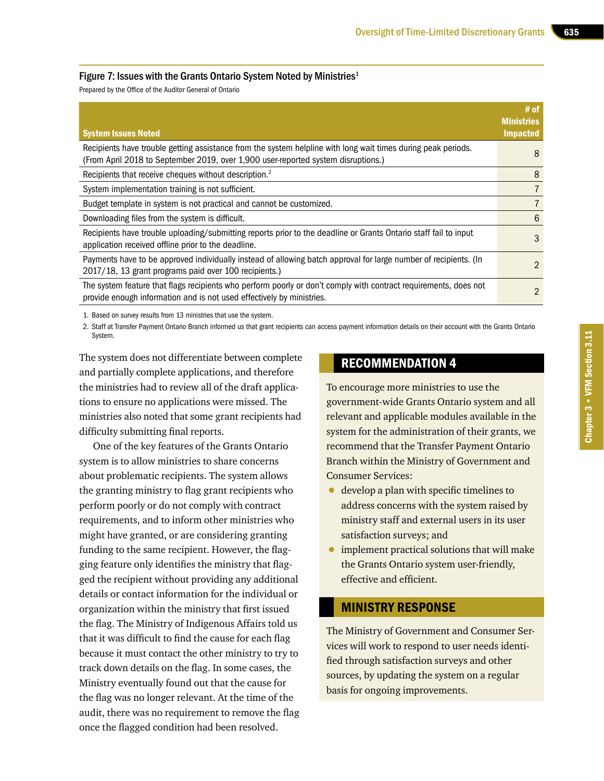#### Figure 7: Issues with the Grants Ontario System Noted by Ministries<sup>1</sup>

Prepared by the Office of the Auditor General of Ontario

| <b>System Issues Noted</b>                                                                                                                                                                         | $#$ of<br><b>Ministries</b><br><b>Impacted</b> |
|----------------------------------------------------------------------------------------------------------------------------------------------------------------------------------------------------|------------------------------------------------|
| Recipients have trouble getting assistance from the system helpline with long wait times during peak periods.<br>(From April 2018 to September 2019, over 1,900 user-reported system disruptions.) | 8                                              |
| Recipients that receive cheques without description. <sup>2</sup>                                                                                                                                  | 8                                              |
| System implementation training is not sufficient.                                                                                                                                                  |                                                |
| Budget template in system is not practical and cannot be customized.                                                                                                                               |                                                |
| Downloading files from the system is difficult.                                                                                                                                                    | 6                                              |
| Recipients have trouble uploading/submitting reports prior to the deadline or Grants Ontario staff fail to input<br>application received offline prior to the deadline.                            | 3                                              |
| Payments have to be approved individually instead of allowing batch approval for large number of recipients. (In<br>2017/18, 13 grant programs paid over 100 recipients.)                          | $\mathcal{P}$                                  |
| The system feature that flags recipients who perform poorly or don't comply with contract requirements, does not<br>provide enough information and is not used effectively by ministries.          | $\mathcal{P}$                                  |

1. Based on survey results from 13 ministries that use the system.

2. Staff at Transfer Payment Ontario Branch informed us that grant recipients can access payment information details on their account with the Grants Ontario System.

The system does not differentiate between complete and partially complete applications, and therefore the ministries had to review all of the draft applications to ensure no applications were missed. The ministries also noted that some grant recipients had difficulty submitting final reports.

One of the key features of the Grants Ontario system is to allow ministries to share concerns about problematic recipients. The system allows the granting ministry to flag grant recipients who perform poorly or do not comply with contract requirements, and to inform other ministries who might have granted, or are considering granting funding to the same recipient. However, the flagging feature only identifies the ministry that flagged the recipient without providing any additional details or contact information for the individual or organization within the ministry that first issued the flag. The Ministry of Indigenous Affairs told us that it was difficult to find the cause for each flag because it must contact the other ministry to try to track down details on the flag. In some cases, the Ministry eventually found out that the cause for the flag was no longer relevant. At the time of the audit, there was no requirement to remove the flag once the flagged condition had been resolved.

## RECOMMENDATION 4

To encourage more ministries to use the government-wide Grants Ontario system and all relevant and applicable modules available in the system for the administration of their grants, we recommend that the Transfer Payment Ontario Branch within the Ministry of Government and Consumer Services:

- develop a plan with specific timelines to address concerns with the system raised by ministry staff and external users in its user satisfaction surveys; and
- implement practical solutions that will make the Grants Ontario system user-friendly, effective and efficient.

#### MINISTRY RESPONSE

The Ministry of Government and Consumer Services will work to respond to user needs identified through satisfaction surveys and other sources, by updating the system on a regular basis for ongoing improvements.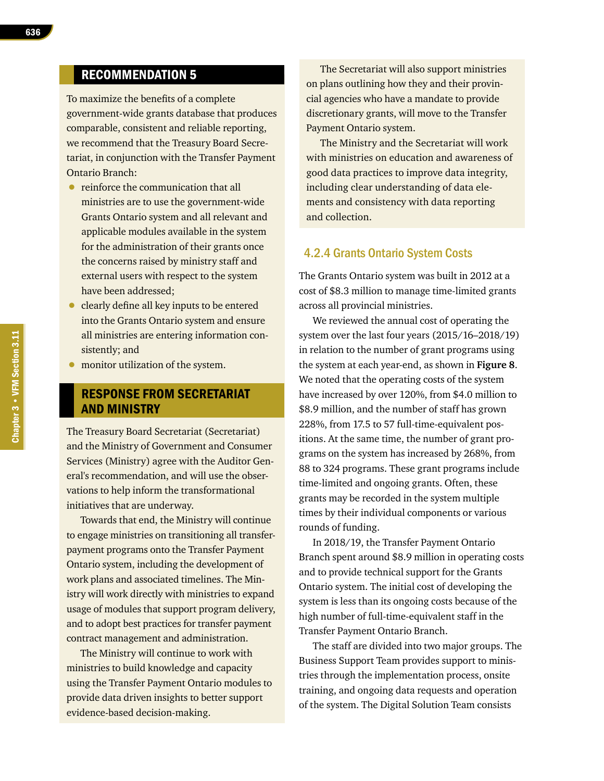## RECOMMENDATION 5

To maximize the benefits of a complete government-wide grants database that produces comparable, consistent and reliable reporting, we recommend that the Treasury Board Secretariat, in conjunction with the Transfer Payment Ontario Branch:

- reinforce the communication that all ministries are to use the government-wide Grants Ontario system and all relevant and applicable modules available in the system for the administration of their grants once the concerns raised by ministry staff and external users with respect to the system have been addressed;
- clearly define all key inputs to be entered into the Grants Ontario system and ensure all ministries are entering information consistently; and
- monitor utilization of the system.

#### RESPONSE FROM SECRETARIAT AND MINISTRY

The Treasury Board Secretariat (Secretariat) and the Ministry of Government and Consumer Services (Ministry) agree with the Auditor General's recommendation, and will use the observations to help inform the transformational initiatives that are underway.

Towards that end, the Ministry will continue to engage ministries on transitioning all transferpayment programs onto the Transfer Payment Ontario system, including the development of work plans and associated timelines. The Ministry will work directly with ministries to expand usage of modules that support program delivery, and to adopt best practices for transfer payment contract management and administration.

The Ministry will continue to work with ministries to build knowledge and capacity using the Transfer Payment Ontario modules to provide data driven insights to better support evidence-based decision-making.

The Secretariat will also support ministries on plans outlining how they and their provincial agencies who have a mandate to provide discretionary grants, will move to the Transfer Payment Ontario system.

The Ministry and the Secretariat will work with ministries on education and awareness of good data practices to improve data integrity, including clear understanding of data elements and consistency with data reporting and collection.

#### 4.2.4 Grants Ontario System Costs

The Grants Ontario system was built in 2012 at a cost of \$8.3 million to manage time-limited grants across all provincial ministries.

We reviewed the annual cost of operating the system over the last four years (2015/16–2018/19) in relation to the number of grant programs using the system at each year-end, as shown in **Figure 8**. We noted that the operating costs of the system have increased by over 120%, from \$4.0 million to \$8.9 million, and the number of staff has grown 228%, from 17.5 to 57 full-time-equivalent positions. At the same time, the number of grant programs on the system has increased by 268%, from 88 to 324 programs. These grant programs include time-limited and ongoing grants. Often, these grants may be recorded in the system multiple times by their individual components or various rounds of funding.

In 2018/19, the Transfer Payment Ontario Branch spent around \$8.9 million in operating costs and to provide technical support for the Grants Ontario system. The initial cost of developing the system is less than its ongoing costs because of the high number of full-time-equivalent staff in the Transfer Payment Ontario Branch.

The staff are divided into two major groups. The Business Support Team provides support to ministries through the implementation process, onsite training, and ongoing data requests and operation of the system. The Digital Solution Team consists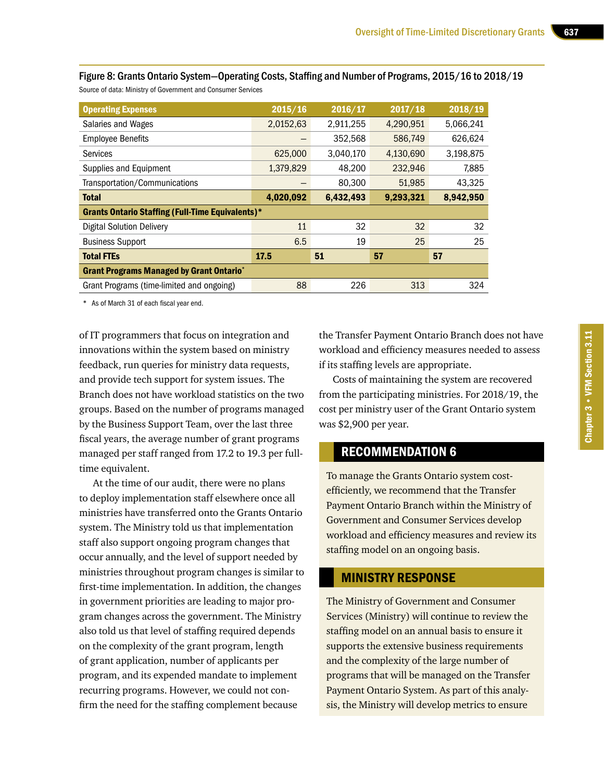| <b>Operating Expenses</b>                               | 2015/16   | 2016/17   | 2017/18   | 2018/19   |
|---------------------------------------------------------|-----------|-----------|-----------|-----------|
| Salaries and Wages                                      | 2,0152,63 | 2,911,255 | 4,290,951 | 5,066,241 |
| <b>Employee Benefits</b>                                |           | 352,568   | 586,749   | 626,624   |
| <b>Services</b>                                         | 625,000   | 3,040,170 | 4,130,690 | 3,198,875 |
| Supplies and Equipment                                  | 1,379,829 | 48,200    | 232,946   | 7,885     |
| Transportation/Communications                           |           | 80,300    | 51,985    | 43.325    |
| <b>Total</b>                                            | 4,020,092 | 6,432,493 | 9,293,321 | 8,942,950 |
| <b>Grants Ontario Staffing (Full-Time Equivalents)*</b> |           |           |           |           |
| Digital Solution Delivery                               | 11        | 32        | 32        | 32        |
| <b>Business Support</b>                                 | 6.5       | 19        | 25        | 25        |
| <b>Total FTEs</b>                                       | 17.5      | 51        | 57        | 57        |
| <b>Grant Programs Managed by Grant Ontario*</b>         |           |           |           |           |
| Grant Programs (time-limited and ongoing)               | 88        | 226       | 313       | 324       |

Figure 8: Grants Ontario System—Operating Costs, Staffing and Number of Programs, 2015/16 to 2018/19 Source of data: Ministry of Government and Consumer Services

\* As of March 31 of each fiscal year end.

of IT programmers that focus on integration and innovations within the system based on ministry feedback, run queries for ministry data requests, and provide tech support for system issues. The Branch does not have workload statistics on the two groups. Based on the number of programs managed by the Business Support Team, over the last three fiscal years, the average number of grant programs managed per staff ranged from 17.2 to 19.3 per fulltime equivalent.

At the time of our audit, there were no plans to deploy implementation staff elsewhere once all ministries have transferred onto the Grants Ontario system. The Ministry told us that implementation staff also support ongoing program changes that occur annually, and the level of support needed by ministries throughout program changes is similar to first-time implementation. In addition, the changes in government priorities are leading to major program changes across the government. The Ministry also told us that level of staffing required depends on the complexity of the grant program, length of grant application, number of applicants per program, and its expended mandate to implement recurring programs. However, we could not confirm the need for the staffing complement because

the Transfer Payment Ontario Branch does not have workload and efficiency measures needed to assess if its staffing levels are appropriate.

Costs of maintaining the system are recovered from the participating ministries. For 2018/19, the cost per ministry user of the Grant Ontario system was \$2,900 per year.

#### RECOMMENDATION 6

To manage the Grants Ontario system costefficiently, we recommend that the Transfer Payment Ontario Branch within the Ministry of Government and Consumer Services develop workload and efficiency measures and review its staffing model on an ongoing basis.

#### MINISTRY RESPONSE

The Ministry of Government and Consumer Services (Ministry) will continue to review the staffing model on an annual basis to ensure it supports the extensive business requirements and the complexity of the large number of programs that will be managed on the Transfer Payment Ontario System. As part of this analysis, the Ministry will develop metrics to ensure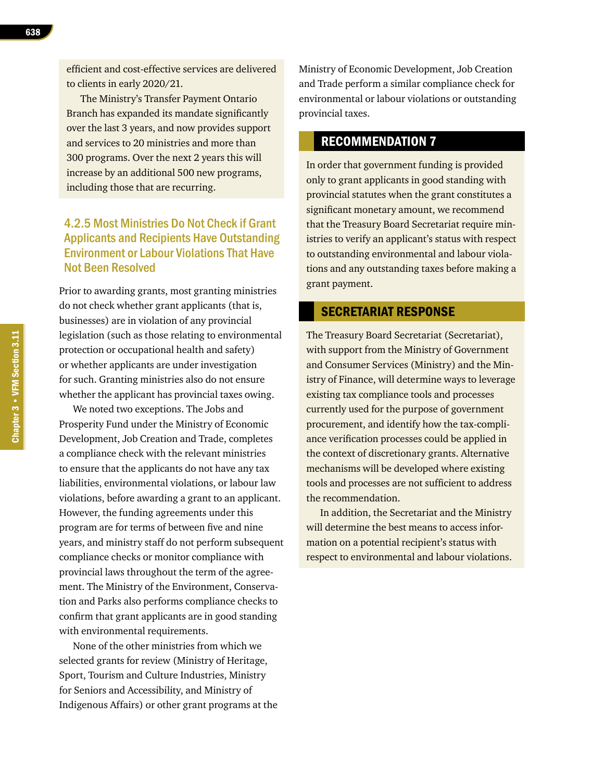efficient and cost-effective services are delivered to clients in early 2020/21.

The Ministry's Transfer Payment Ontario Branch has expanded its mandate significantly over the last 3 years, and now provides support and services to 20 ministries and more than 300 programs. Over the next 2 years this will increase by an additional 500 new programs, including those that are recurring.

## 4.2.5 Most Ministries Do Not Check if Grant Applicants and Recipients Have Outstanding Environment or Labour Violations That Have Not Been Resolved

Prior to awarding grants, most granting ministries do not check whether grant applicants (that is, businesses) are in violation of any provincial legislation (such as those relating to environmental protection or occupational health and safety) or whether applicants are under investigation for such. Granting ministries also do not ensure whether the applicant has provincial taxes owing.

We noted two exceptions. The Jobs and Prosperity Fund under the Ministry of Economic Development, Job Creation and Trade, completes a compliance check with the relevant ministries to ensure that the applicants do not have any tax liabilities, environmental violations, or labour law violations, before awarding a grant to an applicant. However, the funding agreements under this program are for terms of between five and nine years, and ministry staff do not perform subsequent compliance checks or monitor compliance with provincial laws throughout the term of the agreement. The Ministry of the Environment, Conservation and Parks also performs compliance checks to confirm that grant applicants are in good standing with environmental requirements.

None of the other ministries from which we selected grants for review (Ministry of Heritage, Sport, Tourism and Culture Industries, Ministry for Seniors and Accessibility, and Ministry of Indigenous Affairs) or other grant programs at the Ministry of Economic Development, Job Creation and Trade perform a similar compliance check for environmental or labour violations or outstanding provincial taxes.

#### RECOMMENDATION 7

In order that government funding is provided only to grant applicants in good standing with provincial statutes when the grant constitutes a significant monetary amount, we recommend that the Treasury Board Secretariat require ministries to verify an applicant's status with respect to outstanding environmental and labour violations and any outstanding taxes before making a grant payment.

#### SECRETARIAT RESPONSE

The Treasury Board Secretariat (Secretariat), with support from the Ministry of Government and Consumer Services (Ministry) and the Ministry of Finance, will determine ways to leverage existing tax compliance tools and processes currently used for the purpose of government procurement, and identify how the tax-compliance verification processes could be applied in the context of discretionary grants. Alternative mechanisms will be developed where existing tools and processes are not sufficient to address the recommendation.

In addition, the Secretariat and the Ministry will determine the best means to access information on a potential recipient's status with respect to environmental and labour violations.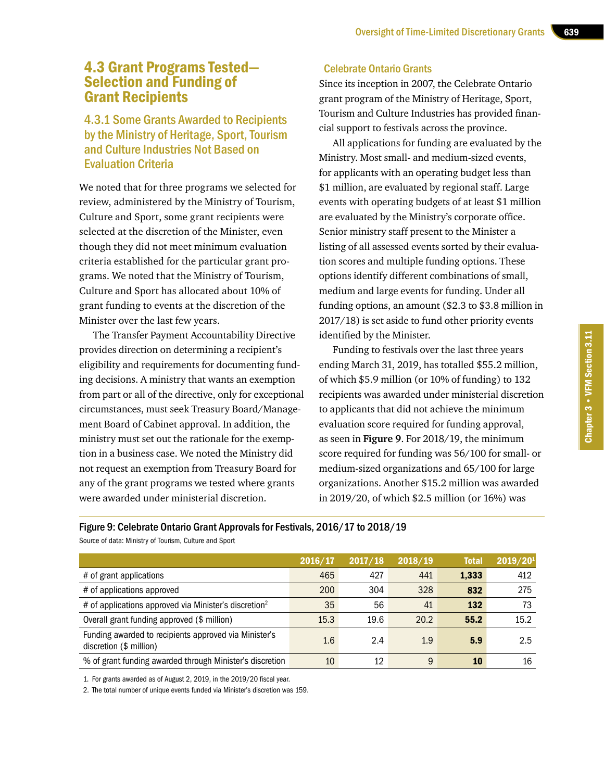## 4.3 Grant Programs Tested— Selection and Funding of Grant Recipients

## 4.3.1 Some Grants Awarded to Recipients by the Ministry of Heritage, Sport, Tourism and Culture Industries Not Based on Evaluation Criteria

We noted that for three programs we selected for review, administered by the Ministry of Tourism, Culture and Sport, some grant recipients were selected at the discretion of the Minister, even though they did not meet minimum evaluation criteria established for the particular grant programs. We noted that the Ministry of Tourism, Culture and Sport has allocated about 10% of grant funding to events at the discretion of the Minister over the last few years.

The Transfer Payment Accountability Directive provides direction on determining a recipient's eligibility and requirements for documenting funding decisions. A ministry that wants an exemption from part or all of the directive, only for exceptional circumstances, must seek Treasury Board/Management Board of Cabinet approval. In addition, the ministry must set out the rationale for the exemption in a business case. We noted the Ministry did not request an exemption from Treasury Board for any of the grant programs we tested where grants were awarded under ministerial discretion.

#### Celebrate Ontario Grants

Since its inception in 2007, the Celebrate Ontario grant program of the Ministry of Heritage, Sport, Tourism and Culture Industries has provided financial support to festivals across the province.

All applications for funding are evaluated by the Ministry. Most small- and medium-sized events, for applicants with an operating budget less than \$1 million, are evaluated by regional staff. Large events with operating budgets of at least \$1 million are evaluated by the Ministry's corporate office. Senior ministry staff present to the Minister a listing of all assessed events sorted by their evaluation scores and multiple funding options. These options identify different combinations of small, medium and large events for funding. Under all funding options, an amount (\$2.3 to \$3.8 million in 2017/18) is set aside to fund other priority events identified by the Minister.

Funding to festivals over the last three years ending March 31, 2019, has totalled \$55.2 million, of which \$5.9 million (or 10% of funding) to 132 recipients was awarded under ministerial discretion to applicants that did not achieve the minimum evaluation score required for funding approval, as seen in **Figure 9**. For 2018/19, the minimum score required for funding was 56/100 for small- or medium-sized organizations and 65/100 for large organizations. Another \$15.2 million was awarded in 2019/20, of which \$2.5 million (or 16%) was

Figure 9: Celebrate Ontario Grant Approvals for Festivals, 2016/17 to 2018/19

Source of data: Ministry of Tourism, Culture and Sport

|                                                                                  | 2016/17 | 2017/18 | 2018/19 | <b>Total</b> | 2019/201 |
|----------------------------------------------------------------------------------|---------|---------|---------|--------------|----------|
| # of grant applications                                                          | 465     | 427     | 441     | 1,333        | 412      |
| # of applications approved                                                       | 200     | 304     | 328     | 832          | 275      |
| # of applications approved via Minister's discretion <sup>2</sup>                | 35      | 56      | 41      | 132          | 73       |
| Overall grant funding approved (\$ million)                                      | 15.3    | 19.6    | 20.2    | 55.2         | 15.2     |
| Funding awarded to recipients approved via Minister's<br>discretion (\$ million) | 1.6     | 2.4     | 1.9     | 5.9          | 2.5      |
| % of grant funding awarded through Minister's discretion                         | 10      | 12      | 9       | 10           | 16       |

1. For grants awarded as of August 2, 2019, in the 2019/20 fiscal year.

2. The total number of unique events funded via Minister's discretion was 159.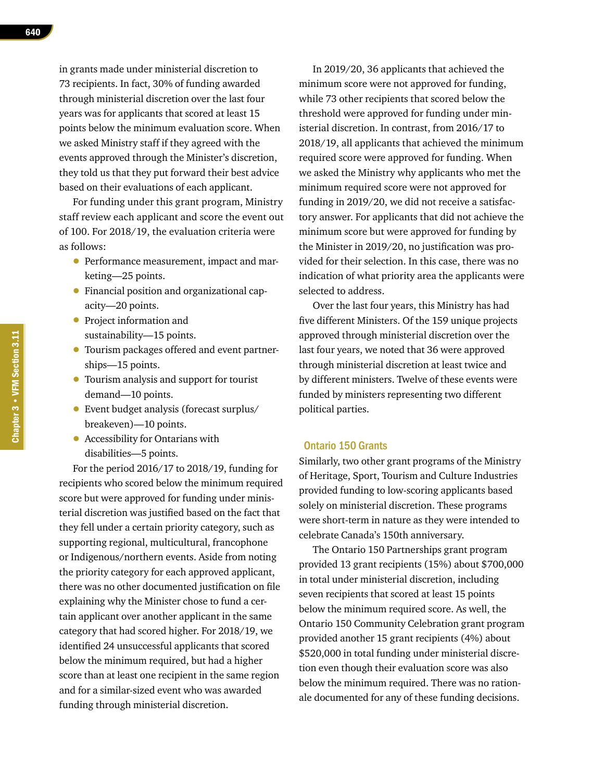in grants made under ministerial discretion to 73 recipients. In fact, 30% of funding awarded through ministerial discretion over the last four years was for applicants that scored at least 15 points below the minimum evaluation score. When we asked Ministry staff if they agreed with the events approved through the Minister's discretion, they told us that they put forward their best advice based on their evaluations of each applicant.

For funding under this grant program, Ministry staff review each applicant and score the event out of 100. For 2018/19, the evaluation criteria were as follows:

- Performance measurement, impact and marketing—25 points.
- Financial position and organizational capacity—20 points.
- Project information and sustainability—15 points.
- Tourism packages offered and event partnerships—15 points.
- Tourism analysis and support for tourist demand—10 points.
- Event budget analysis (forecast surplus/ breakeven)—10 points.
- Accessibility for Ontarians with disabilities—5 points.

For the period 2016/17 to 2018/19, funding for recipients who scored below the minimum required score but were approved for funding under ministerial discretion was justified based on the fact that they fell under a certain priority category, such as supporting regional, multicultural, francophone or Indigenous/northern events. Aside from noting the priority category for each approved applicant, there was no other documented justification on file explaining why the Minister chose to fund a certain applicant over another applicant in the same category that had scored higher. For 2018/19, we identified 24 unsuccessful applicants that scored below the minimum required, but had a higher score than at least one recipient in the same region and for a similar-sized event who was awarded funding through ministerial discretion.

In 2019/20, 36 applicants that achieved the minimum score were not approved for funding, while 73 other recipients that scored below the threshold were approved for funding under ministerial discretion. In contrast, from 2016/17 to 2018/19, all applicants that achieved the minimum required score were approved for funding. When we asked the Ministry why applicants who met the minimum required score were not approved for funding in 2019/20, we did not receive a satisfactory answer. For applicants that did not achieve the minimum score but were approved for funding by the Minister in 2019/20, no justification was provided for their selection. In this case, there was no indication of what priority area the applicants were selected to address.

Over the last four years, this Ministry has had five different Ministers. Of the 159 unique projects approved through ministerial discretion over the last four years, we noted that 36 were approved through ministerial discretion at least twice and by different ministers. Twelve of these events were funded by ministers representing two different political parties.

#### Ontario 150 Grants

Similarly, two other grant programs of the Ministry of Heritage, Sport, Tourism and Culture Industries provided funding to low-scoring applicants based solely on ministerial discretion. These programs were short-term in nature as they were intended to celebrate Canada's 150th anniversary.

The Ontario 150 Partnerships grant program provided 13 grant recipients (15%) about \$700,000 in total under ministerial discretion, including seven recipients that scored at least 15 points below the minimum required score. As well, the Ontario 150 Community Celebration grant program provided another 15 grant recipients (4%) about \$520,000 in total funding under ministerial discretion even though their evaluation score was also below the minimum required. There was no rationale documented for any of these funding decisions.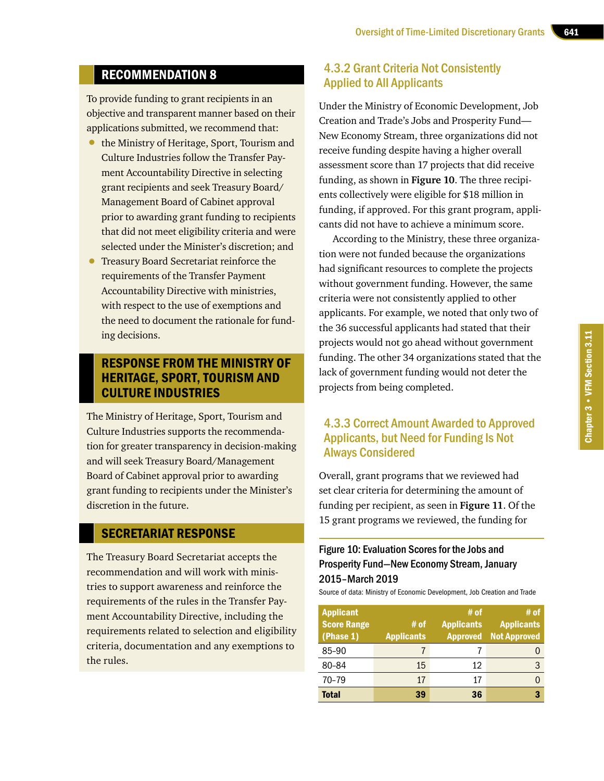## RECOMMENDATION 8

To provide funding to grant recipients in an objective and transparent manner based on their applications submitted, we recommend that:

- the Ministry of Heritage, Sport, Tourism and Culture Industries follow the Transfer Payment Accountability Directive in selecting grant recipients and seek Treasury Board/ Management Board of Cabinet approval prior to awarding grant funding to recipients that did not meet eligibility criteria and were selected under the Minister's discretion; and
- **Treasury Board Secretariat reinforce the** requirements of the Transfer Payment Accountability Directive with ministries, with respect to the use of exemptions and the need to document the rationale for funding decisions.

#### RESPONSE FROM THE MINISTRY OF HERITAGE, SPORT, TOURISM AND CULTURE INDUSTRIES

The Ministry of Heritage, Sport, Tourism and Culture Industries supports the recommendation for greater transparency in decision-making and will seek Treasury Board/Management Board of Cabinet approval prior to awarding grant funding to recipients under the Minister's discretion in the future.

#### SECRETARIAT RESPONSE

The Treasury Board Secretariat accepts the recommendation and will work with ministries to support awareness and reinforce the requirements of the rules in the Transfer Payment Accountability Directive, including the requirements related to selection and eligibility criteria, documentation and any exemptions to the rules.

#### 4.3.2 Grant Criteria Not Consistently Applied to All Applicants

Under the Ministry of Economic Development, Job Creation and Trade's Jobs and Prosperity Fund— New Economy Stream, three organizations did not receive funding despite having a higher overall assessment score than 17 projects that did receive funding, as shown in **Figure 10**. The three recipients collectively were eligible for \$18 million in funding, if approved. For this grant program, applicants did not have to achieve a minimum score.

According to the Ministry, these three organization were not funded because the organizations had significant resources to complete the projects without government funding. However, the same criteria were not consistently applied to other applicants. For example, we noted that only two of the 36 successful applicants had stated that their projects would not go ahead without government funding. The other 34 organizations stated that the lack of government funding would not deter the projects from being completed.

## 4.3.3 Correct Amount Awarded to Approved Applicants, but Need for Funding Is Not Always Considered

Overall, grant programs that we reviewed had set clear criteria for determining the amount of funding per recipient, as seen in **Figure 11**. Of the 15 grant programs we reviewed, the funding for

## Figure 10: Evaluation Scores for the Jobs and Prosperity Fund—New Economy Stream, January 2015–March 2019

Source of data: Ministry of Economic Development, Job Creation and Trade

| <b>Applicant</b><br><b>Score Range</b><br>(Phase 1) | # of<br><b>Applicants</b> | # of<br><b>Applicants</b><br><b>Approved</b> | # of<br><b>Applicants</b><br><b>Not Approved</b> |
|-----------------------------------------------------|---------------------------|----------------------------------------------|--------------------------------------------------|
| 85-90                                               |                           |                                              |                                                  |
| 80-84                                               | 15                        | 12                                           | 3                                                |
| 70-79                                               | 17                        | 17                                           |                                                  |
| <b>Total</b>                                        | 39                        | 36                                           | 3                                                |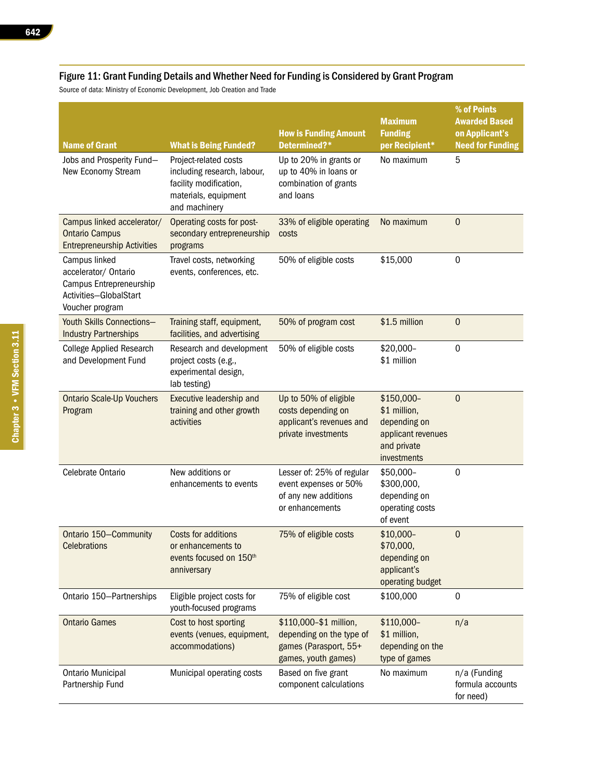#### Figure 11: Grant Funding Details and Whether Need for Funding is Considered by Grant Program

Source of data: Ministry of Economic Development, Job Creation and Trade

| <b>Name of Grant</b>                                                                                          | <b>What is Being Funded?</b>                                                                                            | <b>How is Funding Amount</b><br>Determined?*                                                       | <b>Maximum</b><br><b>Funding</b><br>per Recipient*                                             | % of Points<br><b>Awarded Based</b><br>on Applicant's<br><b>Need for Funding</b> |
|---------------------------------------------------------------------------------------------------------------|-------------------------------------------------------------------------------------------------------------------------|----------------------------------------------------------------------------------------------------|------------------------------------------------------------------------------------------------|----------------------------------------------------------------------------------|
| Jobs and Prosperity Fund-<br>New Economy Stream                                                               | Project-related costs<br>including research, labour,<br>facility modification,<br>materials, equipment<br>and machinery | Up to 20% in grants or<br>up to 40% in loans or<br>combination of grants<br>and loans              | No maximum                                                                                     | 5                                                                                |
| Campus linked accelerator/<br><b>Ontario Campus</b><br><b>Entrepreneurship Activities</b>                     | Operating costs for post-<br>secondary entrepreneurship<br>programs                                                     | 33% of eligible operating<br>costs                                                                 | No maximum                                                                                     | $\boldsymbol{0}$                                                                 |
| Campus linked<br>accelerator/ Ontario<br>Campus Entrepreneurship<br>Activities-GlobalStart<br>Voucher program | Travel costs, networking<br>events, conferences, etc.                                                                   | 50% of eligible costs                                                                              | \$15,000                                                                                       | $\boldsymbol{0}$                                                                 |
| Youth Skills Connections-<br><b>Industry Partnerships</b>                                                     | Training staff, equipment,<br>facilities, and advertising                                                               | 50% of program cost                                                                                | \$1.5 million                                                                                  | $\boldsymbol{0}$                                                                 |
| <b>College Applied Research</b><br>and Development Fund                                                       | Research and development<br>project costs (e.g.,<br>experimental design,<br>lab testing)                                | 50% of eligible costs                                                                              | \$20,000-<br>\$1 million                                                                       | $\pmb{0}$                                                                        |
| <b>Ontario Scale-Up Vouchers</b><br>Program                                                                   | Executive leadership and<br>training and other growth<br>activities                                                     | Up to 50% of eligible<br>costs depending on<br>applicant's revenues and<br>private investments     | \$150,000-<br>\$1 million,<br>depending on<br>applicant revenues<br>and private<br>investments | $\mathbf{0}$                                                                     |
| Celebrate Ontario                                                                                             | New additions or<br>enhancements to events                                                                              | Lesser of: 25% of regular<br>event expenses or 50%<br>of any new additions<br>or enhancements      | \$50,000-<br>\$300,000,<br>depending on<br>operating costs<br>of event                         | $\mathbf 0$                                                                      |
| Ontario 150-Community<br>Celebrations                                                                         | <b>Costs for additions</b><br>or enhancements to<br>events focused on 150 <sup>th</sup><br>anniversary                  | 75% of eligible costs                                                                              | \$10,000-<br>\$70,000,<br>depending on<br>applicant's<br>operating budget                      | $\boldsymbol{0}$                                                                 |
| Ontario 150-Partnerships                                                                                      | Eligible project costs for<br>youth-focused programs                                                                    | 75% of eligible cost                                                                               | \$100,000                                                                                      | $\boldsymbol{0}$                                                                 |
| <b>Ontario Games</b>                                                                                          | Cost to host sporting<br>events (venues, equipment,<br>accommodations)                                                  | \$110,000-\$1 million,<br>depending on the type of<br>games (Parasport, 55+<br>games, youth games) | \$110,000-<br>\$1 million,<br>depending on the<br>type of games                                | n/a                                                                              |
| <b>Ontario Municipal</b><br>Partnership Fund                                                                  | Municipal operating costs                                                                                               | Based on five grant<br>component calculations                                                      | No maximum                                                                                     | n/a (Funding<br>formula accounts<br>for need)                                    |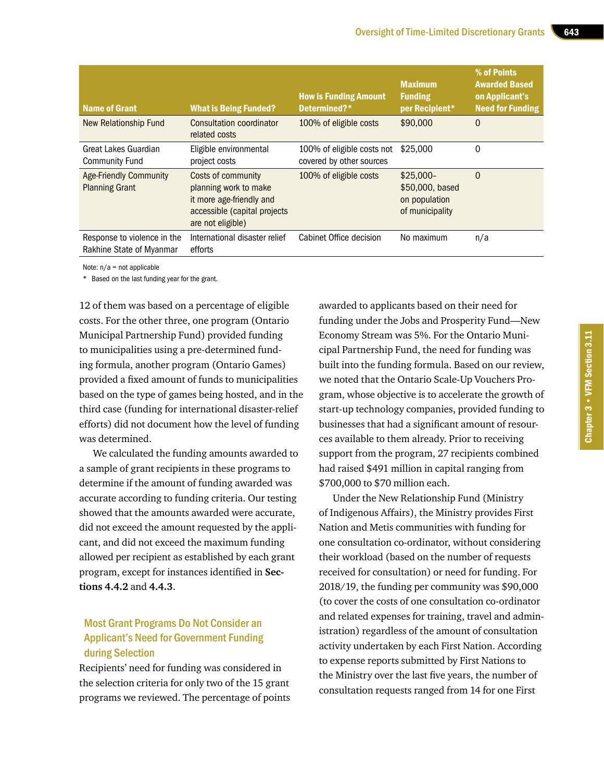| <b>Name of Grant</b>                                    | <b>What is Being Funded?</b>                                                                                                 | <b>How is Funding Amount</b><br>Determined?*           | <b>Maximum</b><br><b>Funding</b><br>per Recipient*                | % of Points<br><b>Awarded Based</b><br>on Applicant's<br><b>Need for Funding</b> |
|---------------------------------------------------------|------------------------------------------------------------------------------------------------------------------------------|--------------------------------------------------------|-------------------------------------------------------------------|----------------------------------------------------------------------------------|
| New Relationship Fund                                   | Consultation coordinator<br>related costs                                                                                    | 100% of eligible costs                                 | \$90,000                                                          | $\mathbf 0$                                                                      |
| Great Lakes Guardian<br><b>Community Fund</b>           | Eligible environmental<br>project costs                                                                                      | 100% of eligible costs not<br>covered by other sources | \$25,000                                                          | 0                                                                                |
| <b>Age-Friendly Community</b><br><b>Planning Grant</b>  | Costs of community<br>planning work to make<br>it more age-friendly and<br>accessible (capital projects<br>are not eligible) | 100% of eligible costs                                 | $$25.000-$<br>\$50,000, based<br>on population<br>of municipality | $\mathbf 0$                                                                      |
| Response to violence in the<br>Rakhine State of Myanmar | International disaster relief<br>efforts                                                                                     | Cabinet Office decision                                | No maximum                                                        | n/a                                                                              |

Note:  $n/a = not$  applicable

\* Based on the last funding year for the grant.

12 of them was based on a percentage of eligible costs. For the other three, one program (Ontario Municipal Partnership Fund) provided funding to municipalities using a pre-determined funding formula, another program (Ontario Games) provided a fixed amount of funds to municipalities based on the type of games being hosted, and in the third case (funding for international disaster-relief efforts) did not document how the level of funding was determined.

We calculated the funding amounts awarded to a sample of grant recipients in these programs to determine if the amount of funding awarded was accurate according to funding criteria. Our testing showed that the amounts awarded were accurate, did not exceed the amount requested by the applicant, and did not exceed the maximum funding allowed per recipient as established by each grant program, except for instances identified in **Sections 4.4.2** and **4.4.3**.

#### Most Grant Programs Do Not Consider an Applicant's Need for Government Funding during Selection

Recipients' need for funding was considered in the selection criteria for only two of the 15 grant programs we reviewed. The percentage of points

awarded to applicants based on their need for funding under the Jobs and Prosperity Fund—New Economy Stream was 5%. For the Ontario Municipal Partnership Fund, the need for funding was built into the funding formula. Based on our review, we noted that the Ontario Scale-Up Vouchers Program, whose objective is to accelerate the growth of start-up technology companies, provided funding to businesses that had a significant amount of resources available to them already. Prior to receiving support from the program, 27 recipients combined had raised \$491 million in capital ranging from \$700,000 to \$70 million each.

Under the New Relationship Fund (Ministry of Indigenous Affairs), the Ministry provides First Nation and Metis communities with funding for one consultation co-ordinator, without considering their workload (based on the number of requests received for consultation) or need for funding. For 2018/19, the funding per community was \$90,000 (to cover the costs of one consultation co-ordinator and related expenses for training, travel and administration) regardless of the amount of consultation activity undertaken by each First Nation. According to expense reports submitted by First Nations to the Ministry over the last five years, the number of consultation requests ranged from 14 for one First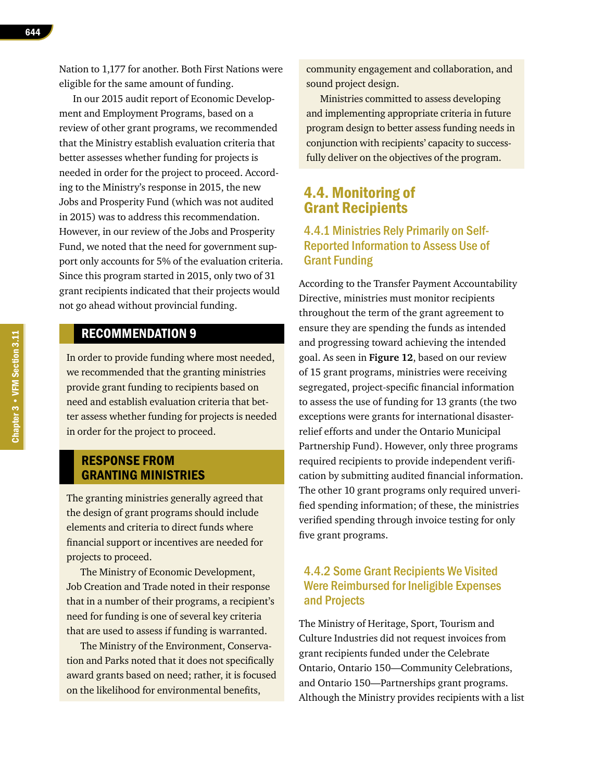644

Nation to 1,177 for another. Both First Nations were eligible for the same amount of funding.

In our 2015 audit report of Economic Development and Employment Programs, based on a review of other grant programs, we recommended that the Ministry establish evaluation criteria that better assesses whether funding for projects is needed in order for the project to proceed. According to the Ministry's response in 2015, the new Jobs and Prosperity Fund (which was not audited in 2015) was to address this recommendation. However, in our review of the Jobs and Prosperity Fund, we noted that the need for government support only accounts for 5% of the evaluation criteria. Since this program started in 2015, only two of 31 grant recipients indicated that their projects would not go ahead without provincial funding.

## RECOMMENDATION 9

In order to provide funding where most needed, we recommended that the granting ministries provide grant funding to recipients based on need and establish evaluation criteria that better assess whether funding for projects is needed in order for the project to proceed.

#### RESPONSE FROM GRANTING MINISTRIES

The granting ministries generally agreed that the design of grant programs should include elements and criteria to direct funds where financial support or incentives are needed for projects to proceed.

The Ministry of Economic Development, Job Creation and Trade noted in their response that in a number of their programs, a recipient's need for funding is one of several key criteria that are used to assess if funding is warranted.

The Ministry of the Environment, Conservation and Parks noted that it does not specifically award grants based on need; rather, it is focused on the likelihood for environmental benefits,

community engagement and collaboration, and sound project design.

Ministries committed to assess developing and implementing appropriate criteria in future program design to better assess funding needs in conjunction with recipients' capacity to successfully deliver on the objectives of the program.

## 4.4. Monitoring of Grant Recipients

### 4.4.1 Ministries Rely Primarily on Self-Reported Information to Assess Use of Grant Funding

According to the Transfer Payment Accountability Directive, ministries must monitor recipients throughout the term of the grant agreement to ensure they are spending the funds as intended and progressing toward achieving the intended goal. As seen in **Figure 12**, based on our review of 15 grant programs, ministries were receiving segregated, project-specific financial information to assess the use of funding for 13 grants (the two exceptions were grants for international disasterrelief efforts and under the Ontario Municipal Partnership Fund). However, only three programs required recipients to provide independent verification by submitting audited financial information. The other 10 grant programs only required unverified spending information; of these, the ministries verified spending through invoice testing for only five grant programs.

#### 4.4.2 Some Grant Recipients We Visited Were Reimbursed for Ineligible Expenses and Projects

The Ministry of Heritage, Sport, Tourism and Culture Industries did not request invoices from grant recipients funded under the Celebrate Ontario, Ontario 150—Community Celebrations, and Ontario 150—Partnerships grant programs. Although the Ministry provides recipients with a list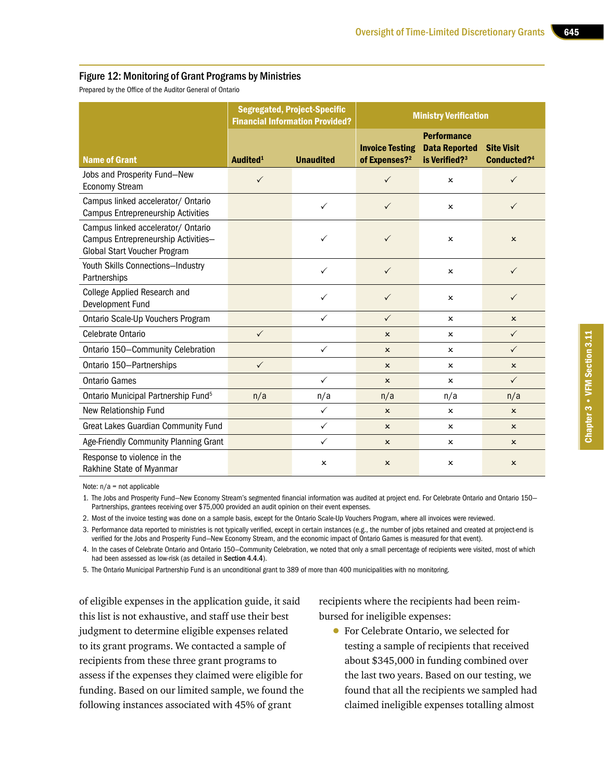#### Figure 12: Monitoring of Grant Programs by Ministries

Prepared by the Office of the Auditor General of Ontario

|                                                                                                           | <b>Segregated, Project-Specific</b><br><b>Financial Information Provided?</b> |                           | <b>Ministry Verification</b>                        |                                                                         |                                              |  |
|-----------------------------------------------------------------------------------------------------------|-------------------------------------------------------------------------------|---------------------------|-----------------------------------------------------|-------------------------------------------------------------------------|----------------------------------------------|--|
| <b>Name of Grant</b>                                                                                      | Audited <sup>1</sup>                                                          | <b>Unaudited</b>          | <b>Invoice Testing</b><br>of Expenses? <sup>2</sup> | <b>Performance</b><br><b>Data Reported</b><br>is Verified? <sup>3</sup> | <b>Site Visit</b><br>Conducted? <sup>4</sup> |  |
| Jobs and Prosperity Fund-New<br><b>Economy Stream</b>                                                     | $\checkmark$                                                                  |                           | $\checkmark$                                        | $\mathbf{x}$                                                            | ✓                                            |  |
| Campus linked accelerator/ Ontario<br><b>Campus Entrepreneurship Activities</b>                           |                                                                               | $\checkmark$              | $\checkmark$                                        | x                                                                       | $\checkmark$                                 |  |
| Campus linked accelerator/ Ontario<br>Campus Entrepreneurship Activities-<br>Global Start Voucher Program |                                                                               | ✓                         | $\checkmark$                                        | ×                                                                       | $\pmb{\times}$                               |  |
| Youth Skills Connections-Industry<br>Partnerships                                                         |                                                                               | $\checkmark$              | $\checkmark$                                        | $\boldsymbol{\mathsf{x}}$                                               | $\checkmark$                                 |  |
| College Applied Research and<br>Development Fund                                                          |                                                                               | $\checkmark$              | $\checkmark$                                        | x                                                                       | $\checkmark$                                 |  |
| Ontario Scale-Up Vouchers Program                                                                         |                                                                               | ✓                         | $\checkmark$                                        | x                                                                       | $\boldsymbol{\mathsf{x}}$                    |  |
| Celebrate Ontario                                                                                         | $\checkmark$                                                                  |                           | $\mathsf{x}$                                        | $\boldsymbol{\mathsf{x}}$                                               | $\checkmark$                                 |  |
| Ontario 150-Community Celebration                                                                         |                                                                               | $\checkmark$              | $\mathbf{x}$                                        | $\mathbf{x}$                                                            | $\checkmark$                                 |  |
| Ontario 150-Partnerships                                                                                  | $\checkmark$                                                                  |                           | $\boldsymbol{\mathsf{x}}$                           | x                                                                       | $\boldsymbol{\mathsf{x}}$                    |  |
| <b>Ontario Games</b>                                                                                      |                                                                               | $\checkmark$              | $\mathsf{x}$                                        | x                                                                       | $\checkmark$                                 |  |
| Ontario Municipal Partnership Fund <sup>5</sup>                                                           | n/a                                                                           | n/a                       | n/a                                                 | n/a                                                                     | n/a                                          |  |
| New Relationship Fund                                                                                     |                                                                               | $\checkmark$              | $\mathsf{x}$                                        | $\boldsymbol{\mathsf{x}}$                                               | $\boldsymbol{\mathsf{x}}$                    |  |
| <b>Great Lakes Guardian Community Fund</b>                                                                |                                                                               | $\checkmark$              | $\mathbf{x}$                                        | ×                                                                       | $\mathsf{x}$                                 |  |
| Age-Friendly Community Planning Grant                                                                     |                                                                               | $\checkmark$              | $\boldsymbol{\mathsf{x}}$                           | $\boldsymbol{\mathsf{x}}$                                               | $\mathsf{x}$                                 |  |
| Response to violence in the<br>Rakhine State of Myanmar                                                   |                                                                               | $\boldsymbol{\mathsf{x}}$ | $\mathsf{x}$                                        | x                                                                       | $\pmb{\times}$                               |  |

Note: n/a = not applicable

1. The Jobs and Prosperity Fund—New Economy Stream's segmented financial information was audited at project end. For Celebrate Ontario and Ontario 150— Partnerships, grantees receiving over \$75,000 provided an audit opinion on their event expenses.

2. Most of the invoice testing was done on a sample basis, except for the Ontario Scale-Up Vouchers Program, where all invoices were reviewed.

3. Performance data reported to ministries is not typically verified, except in certain instances (e.g., the number of jobs retained and created at project-end is verified for the Jobs and Prosperity Fund—New Economy Stream, and the economic impact of Ontario Games is measured for that event).

4. In the cases of Celebrate Ontario and Ontario 150—Community Celebration, we noted that only a small percentage of recipients were visited, most of which had been assessed as low-risk (as detailed in Section 4.4.4).

5. The Ontario Municipal Partnership Fund is an unconditional grant to 389 of more than 400 municipalities with no monitoring.

of eligible expenses in the application guide, it said this list is not exhaustive, and staff use their best judgment to determine eligible expenses related to its grant programs. We contacted a sample of recipients from these three grant programs to assess if the expenses they claimed were eligible for funding. Based on our limited sample, we found the following instances associated with 45% of grant

recipients where the recipients had been reimbursed for ineligible expenses:

• For Celebrate Ontario, we selected for testing a sample of recipients that received about \$345,000 in funding combined over the last two years. Based on our testing, we found that all the recipients we sampled had claimed ineligible expenses totalling almost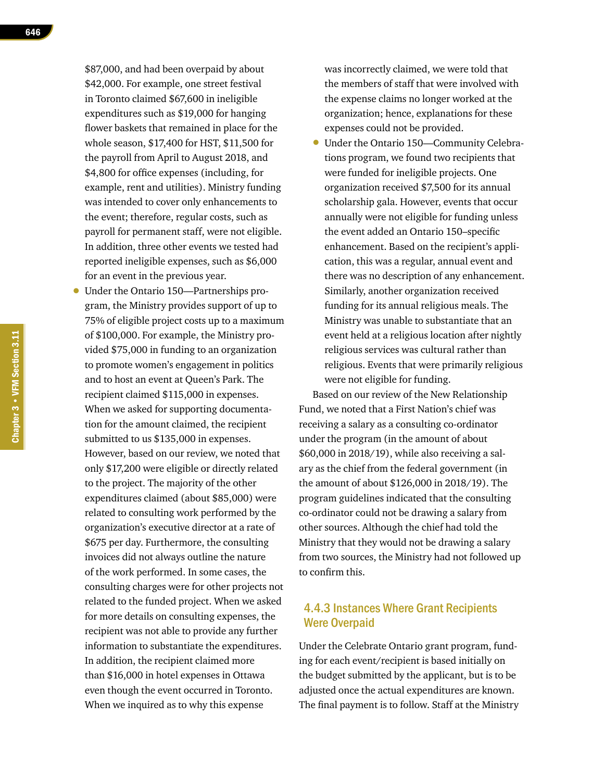\$87,000, and had been overpaid by about \$42,000. For example, one street festival in Toronto claimed \$67,600 in ineligible expenditures such as \$19,000 for hanging flower baskets that remained in place for the whole season, \$17,400 for HST, \$11,500 for the payroll from April to August 2018, and \$4,800 for office expenses (including, for example, rent and utilities). Ministry funding was intended to cover only enhancements to the event; therefore, regular costs, such as payroll for permanent staff, were not eligible. In addition, three other events we tested had reported ineligible expenses, such as \$6,000 for an event in the previous year.

• Under the Ontario 150—Partnerships program, the Ministry provides support of up to 75% of eligible project costs up to a maximum of \$100,000. For example, the Ministry provided \$75,000 in funding to an organization to promote women's engagement in politics and to host an event at Queen's Park. The recipient claimed \$115,000 in expenses. When we asked for supporting documentation for the amount claimed, the recipient submitted to us \$135,000 in expenses. However, based on our review, we noted that only \$17,200 were eligible or directly related to the project. The majority of the other expenditures claimed (about \$85,000) were related to consulting work performed by the organization's executive director at a rate of \$675 per day. Furthermore, the consulting invoices did not always outline the nature of the work performed. In some cases, the consulting charges were for other projects not related to the funded project. When we asked for more details on consulting expenses, the recipient was not able to provide any further information to substantiate the expenditures. In addition, the recipient claimed more than \$16,000 in hotel expenses in Ottawa even though the event occurred in Toronto. When we inquired as to why this expense

was incorrectly claimed, we were told that the members of staff that were involved with the expense claims no longer worked at the organization; hence, explanations for these expenses could not be provided.

• Under the Ontario 150—Community Celebrations program, we found two recipients that were funded for ineligible projects. One organization received \$7,500 for its annual scholarship gala. However, events that occur annually were not eligible for funding unless the event added an Ontario 150–specific enhancement. Based on the recipient's application, this was a regular, annual event and there was no description of any enhancement. Similarly, another organization received funding for its annual religious meals. The Ministry was unable to substantiate that an event held at a religious location after nightly religious services was cultural rather than religious. Events that were primarily religious were not eligible for funding.

Based on our review of the New Relationship Fund, we noted that a First Nation's chief was receiving a salary as a consulting co-ordinator under the program (in the amount of about \$60,000 in 2018/19), while also receiving a salary as the chief from the federal government (in the amount of about \$126,000 in 2018/19). The program guidelines indicated that the consulting co-ordinator could not be drawing a salary from other sources. Although the chief had told the Ministry that they would not be drawing a salary from two sources, the Ministry had not followed up to confirm this.

## 4.4.3 Instances Where Grant Recipients Were Overpaid

Under the Celebrate Ontario grant program, funding for each event/recipient is based initially on the budget submitted by the applicant, but is to be adjusted once the actual expenditures are known. The final payment is to follow. Staff at the Ministry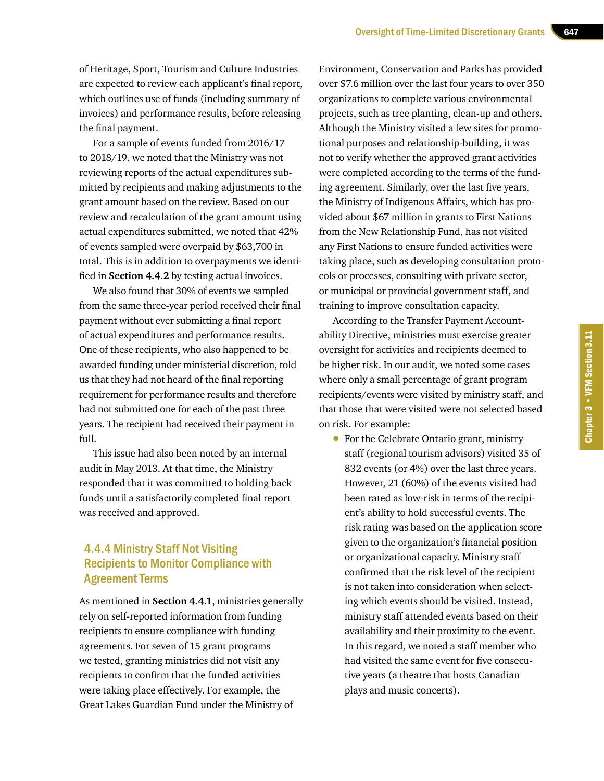of Heritage, Sport, Tourism and Culture Industries are expected to review each applicant's final report, which outlines use of funds (including summary of invoices) and performance results, before releasing the final payment.

For a sample of events funded from 2016/17 to 2018/19, we noted that the Ministry was not reviewing reports of the actual expenditures submitted by recipients and making adjustments to the grant amount based on the review. Based on our review and recalculation of the grant amount using actual expenditures submitted, we noted that 42% of events sampled were overpaid by \$63,700 in total. This is in addition to overpayments we identified in **Section 4.4.2** by testing actual invoices.

We also found that 30% of events we sampled from the same three-year period received their final payment without ever submitting a final report of actual expenditures and performance results. One of these recipients, who also happened to be awarded funding under ministerial discretion, told us that they had not heard of the final reporting requirement for performance results and therefore had not submitted one for each of the past three years. The recipient had received their payment in full.

This issue had also been noted by an internal audit in May 2013. At that time, the Ministry responded that it was committed to holding back funds until a satisfactorily completed final report was received and approved.

#### 4.4.4 Ministry Staff Not Visiting Recipients to Monitor Compliance with **Agreement Terms**

As mentioned in **Section 4.4.1**, ministries generally rely on self-reported information from funding recipients to ensure compliance with funding agreements. For seven of 15 grant programs we tested, granting ministries did not visit any recipients to confirm that the funded activities were taking place effectively. For example, the Great Lakes Guardian Fund under the Ministry of

Environment, Conservation and Parks has provided over \$7.6 million over the last four years to over 350 organizations to complete various environmental projects, such as tree planting, clean-up and others. Although the Ministry visited a few sites for promotional purposes and relationship-building, it was not to verify whether the approved grant activities were completed according to the terms of the funding agreement. Similarly, over the last five years, the Ministry of Indigenous Affairs, which has provided about \$67 million in grants to First Nations from the New Relationship Fund, has not visited any First Nations to ensure funded activities were taking place, such as developing consultation protocols or processes, consulting with private sector, or municipal or provincial government staff, and training to improve consultation capacity.

According to the Transfer Payment Accountability Directive, ministries must exercise greater oversight for activities and recipients deemed to be higher risk. In our audit, we noted some cases where only a small percentage of grant program recipients/events were visited by ministry staff, and that those that were visited were not selected based on risk. For example:

Chapter 3 • VFM Section 3.11

Chapter 3 . VFM Section 3.11

• For the Celebrate Ontario grant, ministry staff (regional tourism advisors) visited 35 of 832 events (or 4%) over the last three years. However, 21 (60%) of the events visited had been rated as low-risk in terms of the recipient's ability to hold successful events. The risk rating was based on the application score given to the organization's financial position or organizational capacity. Ministry staff confirmed that the risk level of the recipient is not taken into consideration when selecting which events should be visited. Instead, ministry staff attended events based on their availability and their proximity to the event. In this regard, we noted a staff member who had visited the same event for five consecutive years (a theatre that hosts Canadian plays and music concerts).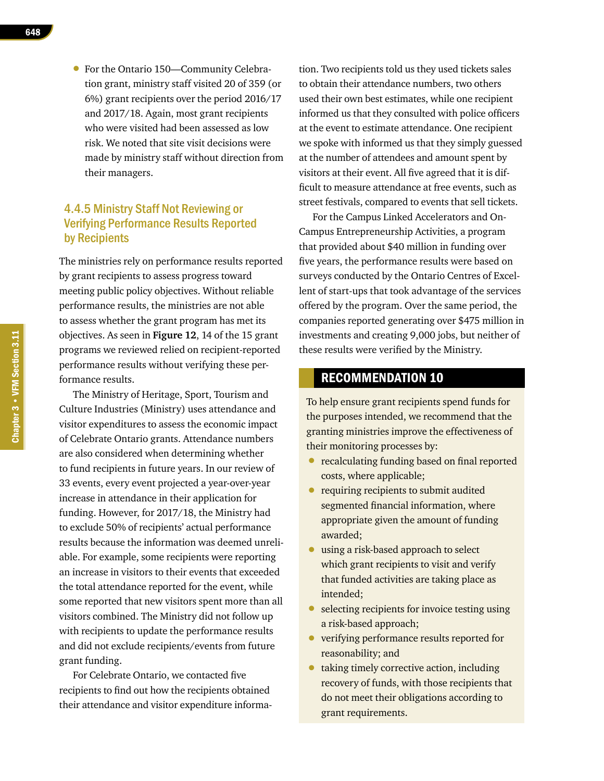- 648
- For the Ontario 150—Community Celebration grant, ministry staff visited 20 of 359 (or 6%) grant recipients over the period 2016/17 and 2017/18. Again, most grant recipients who were visited had been assessed as low risk. We noted that site visit decisions were made by ministry staff without direction from their managers.

## 4.4.5 Ministry Staff Not Reviewing or Verifying Performance Results Reported by Recipients

The ministries rely on performance results reported by grant recipients to assess progress toward meeting public policy objectives. Without reliable performance results, the ministries are not able to assess whether the grant program has met its objectives. As seen in **Figure 12**, 14 of the 15 grant programs we reviewed relied on recipient-reported performance results without verifying these performance results.

The Ministry of Heritage, Sport, Tourism and Culture Industries (Ministry) uses attendance and visitor expenditures to assess the economic impact of Celebrate Ontario grants. Attendance numbers are also considered when determining whether to fund recipients in future years. In our review of 33 events, every event projected a year-over-year increase in attendance in their application for funding. However, for 2017/18, the Ministry had to exclude 50% of recipients' actual performance results because the information was deemed unreliable. For example, some recipients were reporting an increase in visitors to their events that exceeded the total attendance reported for the event, while some reported that new visitors spent more than all visitors combined. The Ministry did not follow up with recipients to update the performance results and did not exclude recipients/events from future grant funding.

For Celebrate Ontario, we contacted five recipients to find out how the recipients obtained their attendance and visitor expenditure informa-

tion. Two recipients told us they used tickets sales to obtain their attendance numbers, two others used their own best estimates, while one recipient informed us that they consulted with police officers at the event to estimate attendance. One recipient we spoke with informed us that they simply guessed at the number of attendees and amount spent by visitors at their event. All five agreed that it is difficult to measure attendance at free events, such as street festivals, compared to events that sell tickets.

For the Campus Linked Accelerators and On-Campus Entrepreneurship Activities, a program that provided about \$40 million in funding over five years, the performance results were based on surveys conducted by the Ontario Centres of Excellent of start-ups that took advantage of the services offered by the program. Over the same period, the companies reported generating over \$475 million in investments and creating 9,000 jobs, but neither of these results were verified by the Ministry.

#### RECOMMENDATION 10

To help ensure grant recipients spend funds for the purposes intended, we recommend that the granting ministries improve the effectiveness of their monitoring processes by:

- recalculating funding based on final reported costs, where applicable;
- requiring recipients to submit audited segmented financial information, where appropriate given the amount of funding awarded;
- using a risk-based approach to select which grant recipients to visit and verify that funded activities are taking place as intended;
- selecting recipients for invoice testing using a risk-based approach;
- verifying performance results reported for reasonability; and
- taking timely corrective action, including recovery of funds, with those recipients that do not meet their obligations according to grant requirements.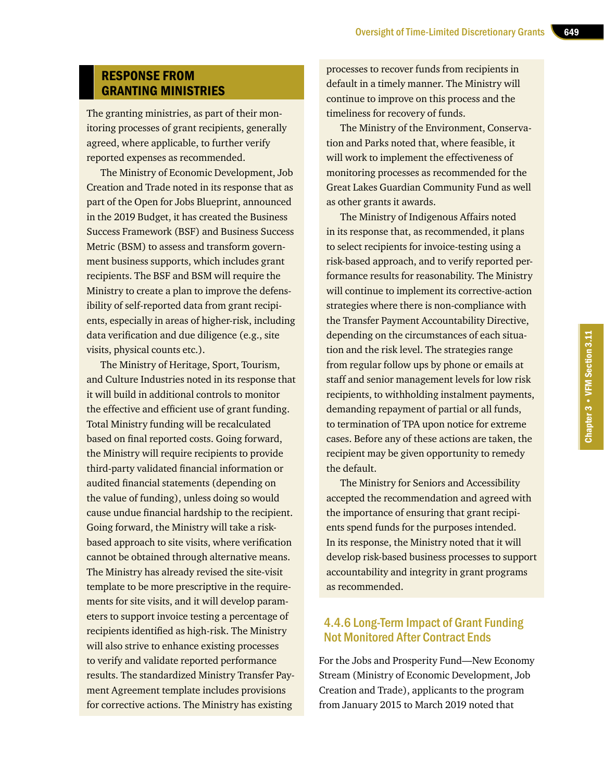## RESPONSE FROM GRANTING MINISTRIES

The granting ministries, as part of their monitoring processes of grant recipients, generally agreed, where applicable, to further verify reported expenses as recommended.

The Ministry of Economic Development, Job Creation and Trade noted in its response that as part of the Open for Jobs Blueprint, announced in the 2019 Budget, it has created the Business Success Framework (BSF) and Business Success Metric (BSM) to assess and transform government business supports, which includes grant recipients. The BSF and BSM will require the Ministry to create a plan to improve the defensibility of self-reported data from grant recipients, especially in areas of higher-risk, including data verification and due diligence (e.g., site visits, physical counts etc.).

The Ministry of Heritage, Sport, Tourism, and Culture Industries noted in its response that it will build in additional controls to monitor the effective and efficient use of grant funding. Total Ministry funding will be recalculated based on final reported costs. Going forward, the Ministry will require recipients to provide third-party validated financial information or audited financial statements (depending on the value of funding), unless doing so would cause undue financial hardship to the recipient. Going forward, the Ministry will take a riskbased approach to site visits, where verification cannot be obtained through alternative means. The Ministry has already revised the site-visit template to be more prescriptive in the requirements for site visits, and it will develop parameters to support invoice testing a percentage of recipients identified as high-risk. The Ministry will also strive to enhance existing processes to verify and validate reported performance results. The standardized Ministry Transfer Payment Agreement template includes provisions for corrective actions. The Ministry has existing

processes to recover funds from recipients in default in a timely manner. The Ministry will continue to improve on this process and the timeliness for recovery of funds.

The Ministry of the Environment, Conservation and Parks noted that, where feasible, it will work to implement the effectiveness of monitoring processes as recommended for the Great Lakes Guardian Community Fund as well as other grants it awards.

The Ministry of Indigenous Affairs noted in its response that, as recommended, it plans to select recipients for invoice-testing using a risk-based approach, and to verify reported performance results for reasonability. The Ministry will continue to implement its corrective-action strategies where there is non-compliance with the Transfer Payment Accountability Directive, depending on the circumstances of each situation and the risk level. The strategies range from regular follow ups by phone or emails at staff and senior management levels for low risk recipients, to withholding instalment payments, demanding repayment of partial or all funds, to termination of TPA upon notice for extreme cases. Before any of these actions are taken, the recipient may be given opportunity to remedy the default.

The Ministry for Seniors and Accessibility accepted the recommendation and agreed with the importance of ensuring that grant recipients spend funds for the purposes intended. In its response, the Ministry noted that it will develop risk-based business processes to support accountability and integrity in grant programs as recommended.

#### 4.4.6 Long-Term Impact of Grant Funding Not Monitored After Contract Ends

For the Jobs and Prosperity Fund—New Economy Stream (Ministry of Economic Development, Job Creation and Trade), applicants to the program from January 2015 to March 2019 noted that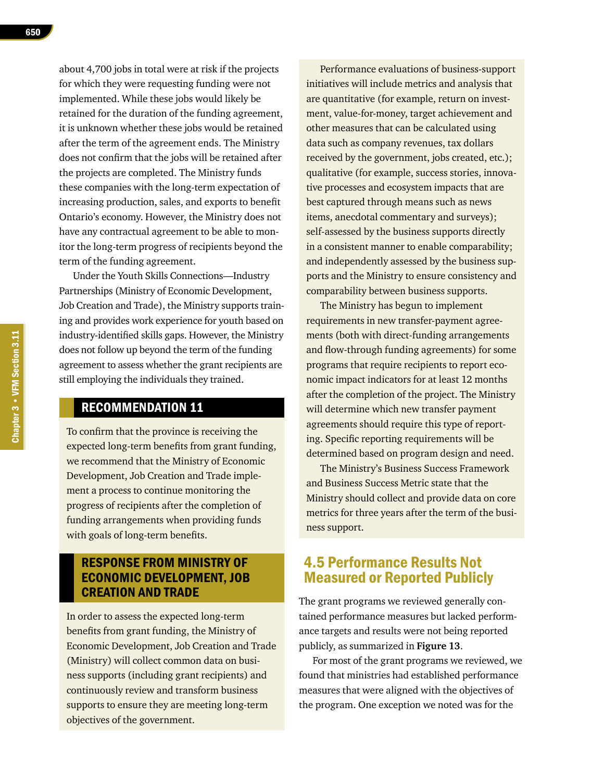about 4,700 jobs in total were at risk if the projects for which they were requesting funding were not implemented. While these jobs would likely be retained for the duration of the funding agreement, it is unknown whether these jobs would be retained after the term of the agreement ends. The Ministry does not confirm that the jobs will be retained after the projects are completed. The Ministry funds these companies with the long-term expectation of increasing production, sales, and exports to benefit Ontario's economy. However, the Ministry does not have any contractual agreement to be able to monitor the long-term progress of recipients beyond the term of the funding agreement.

Under the Youth Skills Connections—Industry Partnerships (Ministry of Economic Development, Job Creation and Trade), the Ministry supports training and provides work experience for youth based on industry-identified skills gaps. However, the Ministry does not follow up beyond the term of the funding agreement to assess whether the grant recipients are still employing the individuals they trained.

#### RECOMMENDATION 11

To confirm that the province is receiving the expected long-term benefits from grant funding, we recommend that the Ministry of Economic Development, Job Creation and Trade implement a process to continue monitoring the progress of recipients after the completion of funding arrangements when providing funds with goals of long-term benefits.

## RESPONSE FROM MINISTRY OF ECONOMIC DEVELOPMENT, JOB CREATION AND TRADE

In order to assess the expected long-term benefits from grant funding, the Ministry of Economic Development, Job Creation and Trade (Ministry) will collect common data on business supports (including grant recipients) and continuously review and transform business supports to ensure they are meeting long-term objectives of the government.

Performance evaluations of business-support initiatives will include metrics and analysis that are quantitative (for example, return on investment, value-for-money, target achievement and other measures that can be calculated using data such as company revenues, tax dollars received by the government, jobs created, etc.); qualitative (for example, success stories, innovative processes and ecosystem impacts that are best captured through means such as news items, anecdotal commentary and surveys); self-assessed by the business supports directly in a consistent manner to enable comparability; and independently assessed by the business supports and the Ministry to ensure consistency and comparability between business supports.

The Ministry has begun to implement requirements in new transfer-payment agreements (both with direct-funding arrangements and flow-through funding agreements) for some programs that require recipients to report economic impact indicators for at least 12 months after the completion of the project. The Ministry will determine which new transfer payment agreements should require this type of reporting. Specific reporting requirements will be determined based on program design and need.

The Ministry's Business Success Framework and Business Success Metric state that the Ministry should collect and provide data on core metrics for three years after the term of the business support.

## 4.5 Performance Results Not Measured or Reported Publicly

The grant programs we reviewed generally contained performance measures but lacked performance targets and results were not being reported publicly, as summarized in **Figure 13**.

For most of the grant programs we reviewed, we found that ministries had established performance measures that were aligned with the objectives of the program. One exception we noted was for the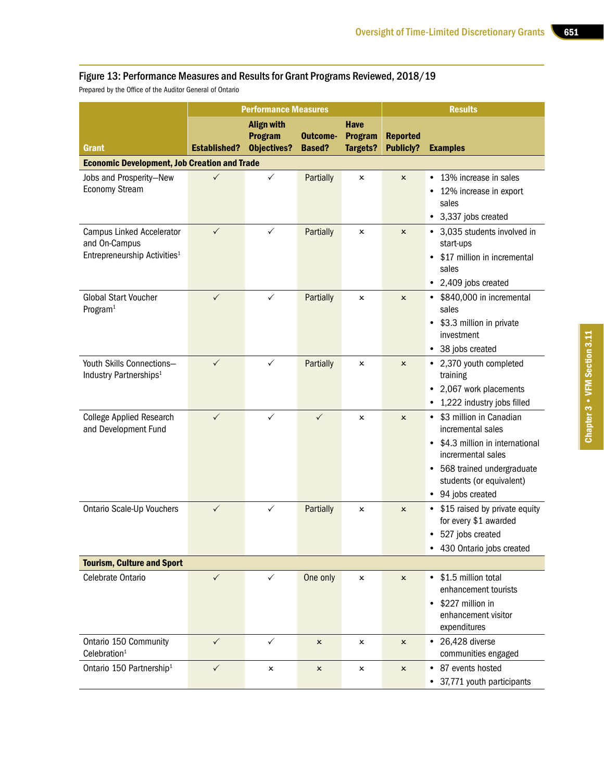#### Figure 13: Performance Measures and Results for Grant Programs Reviewed, 2018/19

Prepared by the Office of the Auditor General of Ontario

|                                                                                               |                     | <b>Performance Measures</b>                               |                           |                                                  | <b>Results</b>                      |                                                                                                                                                                                          |  |
|-----------------------------------------------------------------------------------------------|---------------------|-----------------------------------------------------------|---------------------------|--------------------------------------------------|-------------------------------------|------------------------------------------------------------------------------------------------------------------------------------------------------------------------------------------|--|
| Grant                                                                                         | <b>Established?</b> | <b>Align with</b><br><b>Program</b><br><b>Objectives?</b> | Outcome-<br><b>Based?</b> | <b>Have</b><br><b>Program</b><br><b>Targets?</b> | <b>Reported</b><br><b>Publicly?</b> | <b>Examples</b>                                                                                                                                                                          |  |
| <b>Economic Development, Job Creation and Trade</b>                                           |                     |                                                           |                           |                                                  |                                     |                                                                                                                                                                                          |  |
| Jobs and Prosperity-New<br><b>Economy Stream</b>                                              |                     | $\checkmark$                                              | Partially                 | x                                                | $\boldsymbol{\mathsf{x}}$           | 13% increase in sales<br>$\bullet$<br>12% increase in export<br>sales<br>• 3,337 jobs created                                                                                            |  |
| <b>Campus Linked Accelerator</b><br>and On-Campus<br>Entrepreneurship Activities <sup>1</sup> | $\checkmark$        | $\checkmark$                                              | Partially                 | $\boldsymbol{\mathsf{x}}$                        | $\mathsf{x}$                        | • 3,035 students involved in<br>start-ups<br>\$17 million in incremental<br>sales<br>• 2,409 jobs created                                                                                |  |
| <b>Global Start Voucher</b><br>Program <sup>1</sup>                                           | $\checkmark$        | $\checkmark$                                              | Partially                 | x                                                | $\pmb{\times}$                      | • \$840,000 in incremental<br>sales<br>\$3.3 million in private<br>$\bullet$<br>investment<br>• 38 jobs created                                                                          |  |
| Youth Skills Connections-<br>Industry Partnerships <sup>1</sup>                               | $\checkmark$        | $\checkmark$                                              | Partially                 | x                                                | $\pmb{\times}$                      | • 2,370 youth completed<br>training<br>• 2,067 work placements<br>• 1,222 industry jobs filled                                                                                           |  |
| <b>College Applied Research</b><br>and Development Fund                                       | ✓                   | ✓                                                         | $\checkmark$              | x                                                | $\pmb{\times}$                      | • \$3 million in Canadian<br>incremental sales<br>• \$4.3 million in international<br>incrermental sales<br>• 568 trained undergraduate<br>students (or equivalent)<br>• 94 jobs created |  |
| <b>Ontario Scale-Up Vouchers</b>                                                              | $\checkmark$        | $\checkmark$                                              | Partially                 | ×                                                | $\pmb{\times}$                      | • \$15 raised by private equity<br>for every \$1 awarded<br>• 527 jobs created<br>430 Ontario jobs created                                                                               |  |
| <b>Tourism, Culture and Sport</b>                                                             |                     |                                                           |                           |                                                  |                                     |                                                                                                                                                                                          |  |
| Celebrate Ontario                                                                             | $\checkmark$        | $\checkmark$                                              | One only                  | x                                                | $\pmb{\times}$                      | • \$1.5 million total<br>enhancement tourists<br>\$227 million in<br>enhancement visitor<br>expenditures                                                                                 |  |
| Ontario 150 Community<br>Celebration <sup>1</sup>                                             | $\checkmark$        | $\checkmark$                                              | $\pmb{\times}$            | x                                                | $\pmb{\times}$                      | $\bullet$ 26,428 diverse<br>communities engaged                                                                                                                                          |  |
| Ontario 150 Partnership <sup>1</sup>                                                          | $\checkmark$        | x                                                         | $\pmb{\times}$            | $\pmb{\times}$                                   | $\pmb{\times}$                      | • 87 events hosted<br>• 37,771 youth participants                                                                                                                                        |  |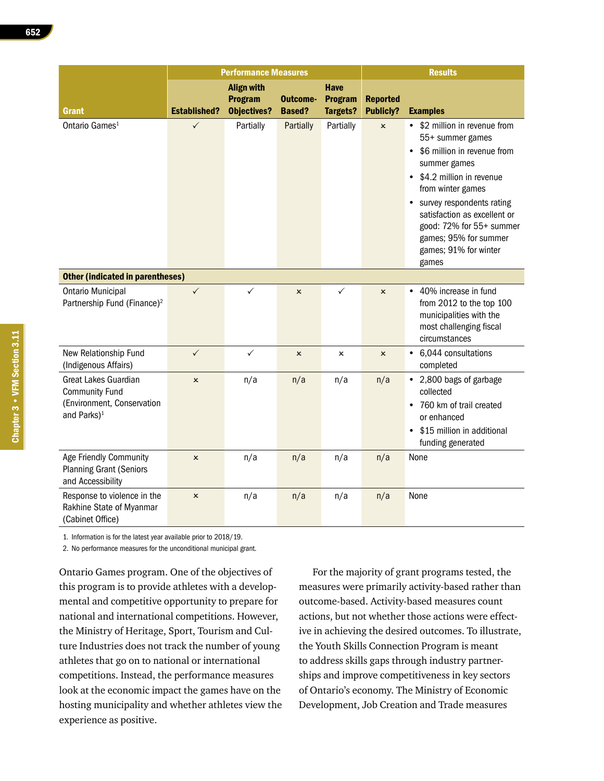|                                                                                                        |                     | <b>Performance Measures</b>                               |                           |                                                  |                                     | <b>Results</b>                                                                                                                                                                                                                                                                                        |
|--------------------------------------------------------------------------------------------------------|---------------------|-----------------------------------------------------------|---------------------------|--------------------------------------------------|-------------------------------------|-------------------------------------------------------------------------------------------------------------------------------------------------------------------------------------------------------------------------------------------------------------------------------------------------------|
| <b>Grant</b>                                                                                           | <b>Established?</b> | <b>Align with</b><br><b>Program</b><br><b>Objectives?</b> | Outcome-<br><b>Based?</b> | <b>Have</b><br><b>Program</b><br><b>Targets?</b> | <b>Reported</b><br><b>Publicly?</b> | <b>Examples</b>                                                                                                                                                                                                                                                                                       |
| Ontario Games <sup>1</sup>                                                                             | $\checkmark$        | Partially                                                 | Partially                 | Partially                                        | $\boldsymbol{\mathsf{x}}$           | • \$2 million in revenue from<br>55+ summer games<br>\$6 million in revenue from<br>summer games<br>\$4.2 million in revenue<br>from winter games<br>survey respondents rating<br>satisfaction as excellent or<br>good: 72% for 55+ summer<br>games; 95% for summer<br>games; 91% for winter<br>games |
| <b>Other (indicated in parentheses)</b>                                                                |                     |                                                           |                           |                                                  |                                     |                                                                                                                                                                                                                                                                                                       |
| <b>Ontario Municipal</b><br>Partnership Fund (Finance) <sup>2</sup>                                    | $\checkmark$        | $\checkmark$                                              | $\pmb{\times}$            | ✓                                                | $\pmb{\times}$                      | • 40% increase in fund<br>from 2012 to the top 100<br>municipalities with the<br>most challenging fiscal<br>circumstances                                                                                                                                                                             |
| New Relationship Fund<br>(Indigenous Affairs)                                                          | $\checkmark$        | $\checkmark$                                              | $\pmb{\times}$            | $\pmb{\times}$                                   | $\pmb{\times}$                      | • 6,044 consultations<br>completed                                                                                                                                                                                                                                                                    |
| Great Lakes Guardian<br><b>Community Fund</b><br>(Environment, Conservation<br>and Parks) <sup>1</sup> | $\pmb{\times}$      | n/a                                                       | n/a                       | n/a                                              | n/a                                 | • 2,800 bags of garbage<br>collected<br>760 km of trail created<br>$\bullet$<br>or enhanced<br>\$15 million in additional<br>funding generated                                                                                                                                                        |
| Age Friendly Community<br><b>Planning Grant (Seniors</b><br>and Accessibility                          | ×                   | n/a                                                       | n/a                       | n/a                                              | n/a                                 | None                                                                                                                                                                                                                                                                                                  |
| Response to violence in the<br>Rakhine State of Myanmar<br>(Cabinet Office)                            | $\pmb{\times}$      | n/a                                                       | n/a                       | n/a                                              | n/a                                 | None                                                                                                                                                                                                                                                                                                  |

1. Information is for the latest year available prior to 2018/19.

2. No performance measures for the unconditional municipal grant.

Ontario Games program. One of the objectives of this program is to provide athletes with a developmental and competitive opportunity to prepare for national and international competitions. However, the Ministry of Heritage, Sport, Tourism and Culture Industries does not track the number of young athletes that go on to national or international competitions. Instead, the performance measures look at the economic impact the games have on the hosting municipality and whether athletes view the experience as positive.

For the majority of grant programs tested, the measures were primarily activity-based rather than outcome-based. Activity-based measures count actions, but not whether those actions were effective in achieving the desired outcomes. To illustrate, the Youth Skills Connection Program is meant to address skills gaps through industry partnerships and improve competitiveness in key sectors of Ontario's economy. The Ministry of Economic Development, Job Creation and Trade measures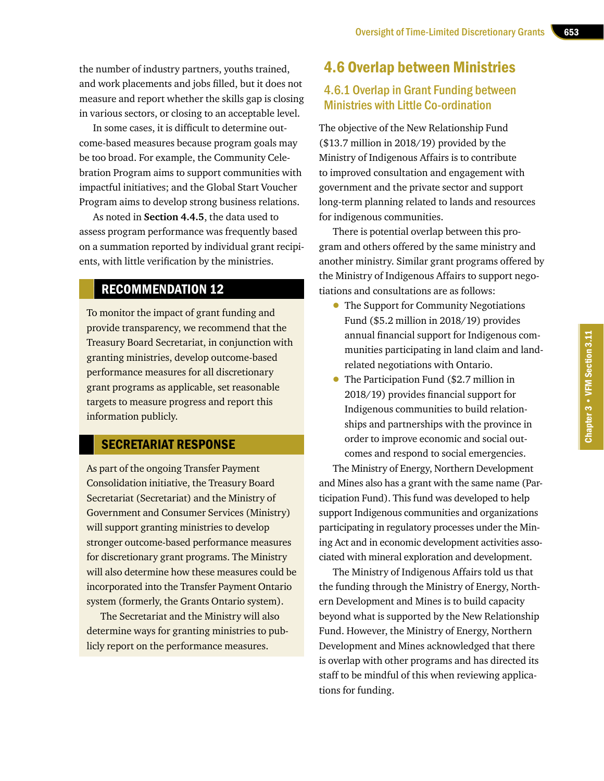the number of industry partners, youths trained, and work placements and jobs filled, but it does not measure and report whether the skills gap is closing in various sectors, or closing to an acceptable level.

In some cases, it is difficult to determine outcome-based measures because program goals may be too broad. For example, the Community Celebration Program aims to support communities with impactful initiatives; and the Global Start Voucher Program aims to develop strong business relations.

As noted in **Section 4.4.5**, the data used to assess program performance was frequently based on a summation reported by individual grant recipients, with little verification by the ministries.

## RECOMMENDATION 12

To monitor the impact of grant funding and provide transparency, we recommend that the Treasury Board Secretariat, in conjunction with granting ministries, develop outcome-based performance measures for all discretionary grant programs as applicable, set reasonable targets to measure progress and report this information publicly.

#### SECRETARIAT RESPONSE

As part of the ongoing Transfer Payment Consolidation initiative, the Treasury Board Secretariat (Secretariat) and the Ministry of Government and Consumer Services (Ministry) will support granting ministries to develop stronger outcome-based performance measures for discretionary grant programs. The Ministry will also determine how these measures could be incorporated into the Transfer Payment Ontario system (formerly, the Grants Ontario system).

The Secretariat and the Ministry will also determine ways for granting ministries to publicly report on the performance measures.

## 4.6 Overlap between Ministries

#### 4.6.1 Overlap in Grant Funding between Ministries with Little Co-ordination

The objective of the New Relationship Fund (\$13.7 million in 2018/19) provided by the Ministry of Indigenous Affairs is to contribute to improved consultation and engagement with government and the private sector and support long-term planning related to lands and resources for indigenous communities.

There is potential overlap between this program and others offered by the same ministry and another ministry. Similar grant programs offered by the Ministry of Indigenous Affairs to support negotiations and consultations are as follows:

- The Support for Community Negotiations Fund (\$5.2 million in 2018/19) provides annual financial support for Indigenous communities participating in land claim and landrelated negotiations with Ontario.
- The Participation Fund (\$2.7 million in 2018/19) provides financial support for Indigenous communities to build relationships and partnerships with the province in order to improve economic and social outcomes and respond to social emergencies.

The Ministry of Energy, Northern Development and Mines also has a grant with the same name (Participation Fund). This fund was developed to help support Indigenous communities and organizations participating in regulatory processes under the Mining Act and in economic development activities associated with mineral exploration and development.

The Ministry of Indigenous Affairs told us that the funding through the Ministry of Energy, Northern Development and Mines is to build capacity beyond what is supported by the New Relationship Fund. However, the Ministry of Energy, Northern Development and Mines acknowledged that there is overlap with other programs and has directed its staff to be mindful of this when reviewing applications for funding.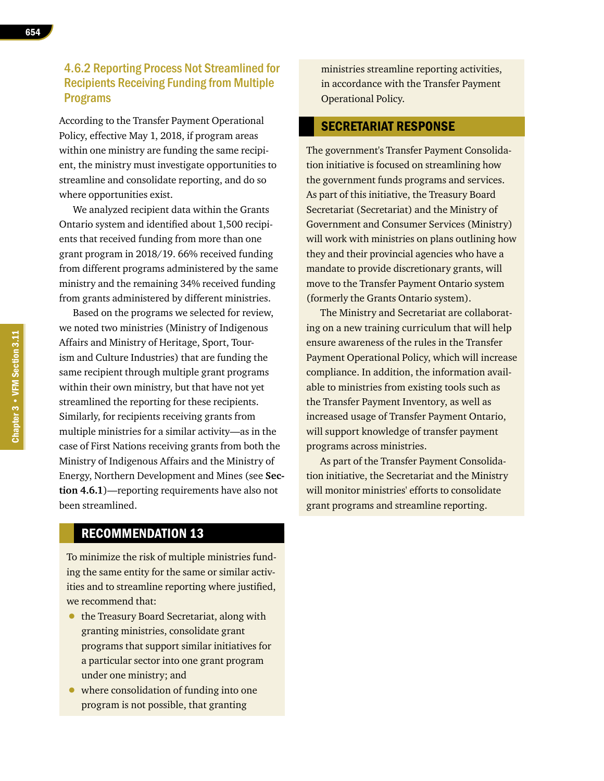According to the Transfer Payment Operational Policy, effective May 1, 2018, if program areas within one ministry are funding the same recipient, the ministry must investigate opportunities to streamline and consolidate reporting, and do so where opportunities exist.

We analyzed recipient data within the Grants Ontario system and identified about 1,500 recipients that received funding from more than one grant program in 2018/19. 66% received funding from different programs administered by the same ministry and the remaining 34% received funding from grants administered by different ministries.

Based on the programs we selected for review, we noted two ministries (Ministry of Indigenous Affairs and Ministry of Heritage, Sport, Tourism and Culture Industries) that are funding the same recipient through multiple grant programs within their own ministry, but that have not yet streamlined the reporting for these recipients. Similarly, for recipients receiving grants from multiple ministries for a similar activity—as in the case of First Nations receiving grants from both the Ministry of Indigenous Affairs and the Ministry of Energy, Northern Development and Mines (see **Section 4.6.1**)—reporting requirements have also not been streamlined.

ministries streamline reporting activities, in accordance with the Transfer Payment Operational Policy.

#### SECRETARIAT RESPONSE

The government's Transfer Payment Consolidation initiative is focused on streamlining how the government funds programs and services. As part of this initiative, the Treasury Board Secretariat (Secretariat) and the Ministry of Government and Consumer Services (Ministry) will work with ministries on plans outlining how they and their provincial agencies who have a mandate to provide discretionary grants, will move to the Transfer Payment Ontario system (formerly the Grants Ontario system).

The Ministry and Secretariat are collaborating on a new training curriculum that will help ensure awareness of the rules in the Transfer Payment Operational Policy, which will increase compliance. In addition, the information available to ministries from existing tools such as the Transfer Payment Inventory, as well as increased usage of Transfer Payment Ontario, will support knowledge of transfer payment programs across ministries.

As part of the Transfer Payment Consolidation initiative, the Secretariat and the Ministry will monitor ministries' efforts to consolidate grant programs and streamline reporting.

## RECOMMENDATION 13

To minimize the risk of multiple ministries funding the same entity for the same or similar activities and to streamline reporting where justified, we recommend that:

- the Treasury Board Secretariat, along with granting ministries, consolidate grant programs that support similar initiatives for a particular sector into one grant program under one ministry; and
- where consolidation of funding into one program is not possible, that granting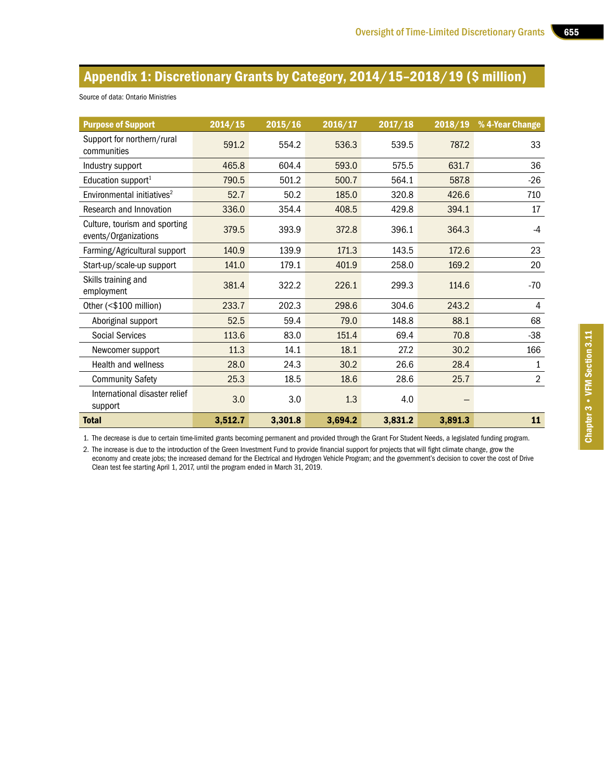# Appendix 1: Discretionary Grants by Category, 2014/15–2018/19 (\$ million)

| <b>Purpose of Support</b>                             | 2014/15 | 2015/16 | 2016/17 | 2017/18 | 2018/19 | % 4-Year Change |
|-------------------------------------------------------|---------|---------|---------|---------|---------|-----------------|
| Support for northern/rural<br>communities             | 591.2   | 554.2   | 536.3   | 539.5   | 787.2   | 33              |
| Industry support                                      | 465.8   | 604.4   | 593.0   | 575.5   | 631.7   | 36              |
| Education support <sup>1</sup>                        | 790.5   | 501.2   | 500.7   | 564.1   | 587.8   | $-26$           |
| Environmental initiatives <sup>2</sup>                | 52.7    | 50.2    | 185.0   | 320.8   | 426.6   | 710             |
| Research and Innovation                               | 336.0   | 354.4   | 408.5   | 429.8   | 394.1   | 17              |
| Culture, tourism and sporting<br>events/Organizations | 379.5   | 393.9   | 372.8   | 396.1   | 364.3   | $-4$            |
| Farming/Agricultural support                          | 140.9   | 139.9   | 171.3   | 143.5   | 172.6   | 23              |
| Start-up/scale-up support                             | 141.0   | 179.1   | 401.9   | 258.0   | 169.2   | 20              |
| Skills training and<br>employment                     | 381.4   | 322.2   | 226.1   | 299.3   | 114.6   | $-70$           |
| Other (<\$100 million)                                | 233.7   | 202.3   | 298.6   | 304.6   | 243.2   | 4               |
| Aboriginal support                                    | 52.5    | 59.4    | 79.0    | 148.8   | 88.1    | 68              |
| <b>Social Services</b>                                | 113.6   | 83.0    | 151.4   | 69.4    | 70.8    | $-38$           |
| Newcomer support                                      | 11.3    | 14.1    | 18.1    | 27.2    | 30.2    | 166             |
| <b>Health and wellness</b>                            | 28.0    | 24.3    | 30.2    | 26.6    | 28.4    | 1               |
| <b>Community Safety</b>                               | 25.3    | 18.5    | 18.6    | 28.6    | 25.7    | $\overline{2}$  |
| International disaster relief<br>support              | 3.0     | 3.0     | 1.3     | 4.0     |         |                 |
| <b>Total</b>                                          | 3,512.7 | 3,301.8 | 3,694.2 | 3,831.2 | 3,891.3 | 11              |

#### Source of data: Ontario Ministries

1. The decrease is due to certain time-limited grants becoming permanent and provided through the Grant For Student Needs, a legislated funding program.

2. The increase is due to the introduction of the Green Investment Fund to provide financial support for projects that will fight climate change, grow the economy and create jobs; the increased demand for the Electrical and Hydrogen Vehicle Program; and the government's decision to cover the cost of Drive Clean test fee starting April 1, 2017, until the program ended in March 31, 2019.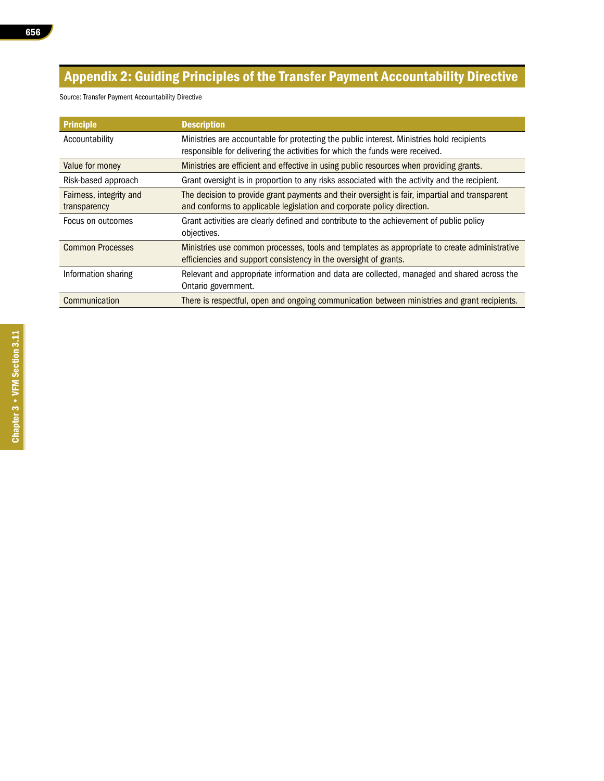# Appendix 2: Guiding Principles of the Transfer Payment Accountability Directive

Source: Transfer Payment Accountability Directive

| <b>Principle</b>                        | <b>Description</b>                                                                                                                                                        |
|-----------------------------------------|---------------------------------------------------------------------------------------------------------------------------------------------------------------------------|
| Accountability                          | Ministries are accountable for protecting the public interest. Ministries hold recipients<br>responsible for delivering the activities for which the funds were received. |
| Value for money                         | Ministries are efficient and effective in using public resources when providing grants.                                                                                   |
| Risk-based approach                     | Grant oversight is in proportion to any risks associated with the activity and the recipient.                                                                             |
| Fairness, integrity and<br>transparency | The decision to provide grant payments and their oversight is fair, impartial and transparent<br>and conforms to applicable legislation and corporate policy direction.   |
| Focus on outcomes                       | Grant activities are clearly defined and contribute to the achievement of public policy<br>objectives.                                                                    |
| <b>Common Processes</b>                 | Ministries use common processes, tools and templates as appropriate to create administrative<br>efficiencies and support consistency in the oversight of grants.          |
| Information sharing                     | Relevant and appropriate information and data are collected, managed and shared across the<br>Ontario government.                                                         |
| Communication                           | There is respectful, open and ongoing communication between ministries and grant recipients.                                                                              |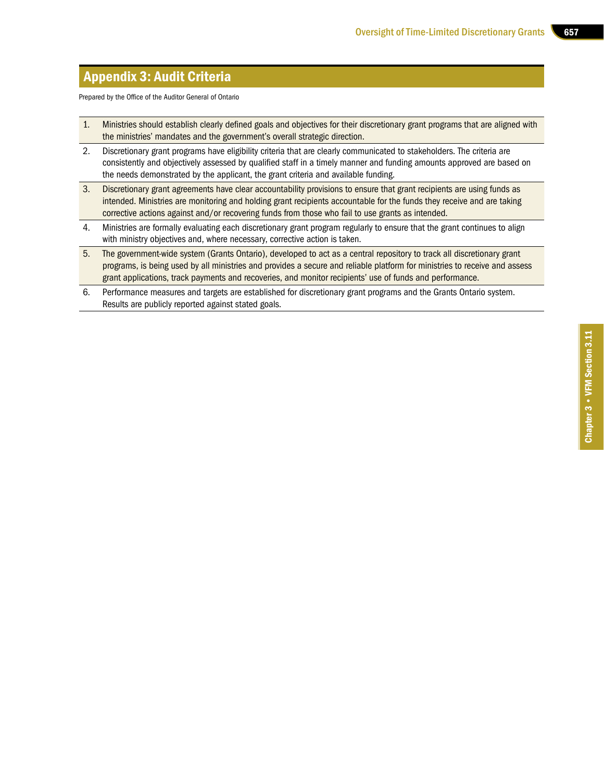## Appendix 3: Audit Criteria

Prepared by the Office of the Auditor General of Ontario

- 1. Ministries should establish clearly defined goals and objectives for their discretionary grant programs that are aligned with the ministries' mandates and the government's overall strategic direction.
- 2. Discretionary grant programs have eligibility criteria that are clearly communicated to stakeholders. The criteria are consistently and objectively assessed by qualified staff in a timely manner and funding amounts approved are based on the needs demonstrated by the applicant, the grant criteria and available funding.
- 3. Discretionary grant agreements have clear accountability provisions to ensure that grant recipients are using funds as intended. Ministries are monitoring and holding grant recipients accountable for the funds they receive and are taking corrective actions against and/or recovering funds from those who fail to use grants as intended.
- 4. Ministries are formally evaluating each discretionary grant program regularly to ensure that the grant continues to align with ministry objectives and, where necessary, corrective action is taken.
- 5. The government-wide system (Grants Ontario), developed to act as a central repository to track all discretionary grant programs, is being used by all ministries and provides a secure and reliable platform for ministries to receive and assess grant applications, track payments and recoveries, and monitor recipients' use of funds and performance.
- 6. Performance measures and targets are established for discretionary grant programs and the Grants Ontario system. Results are publicly reported against stated goals.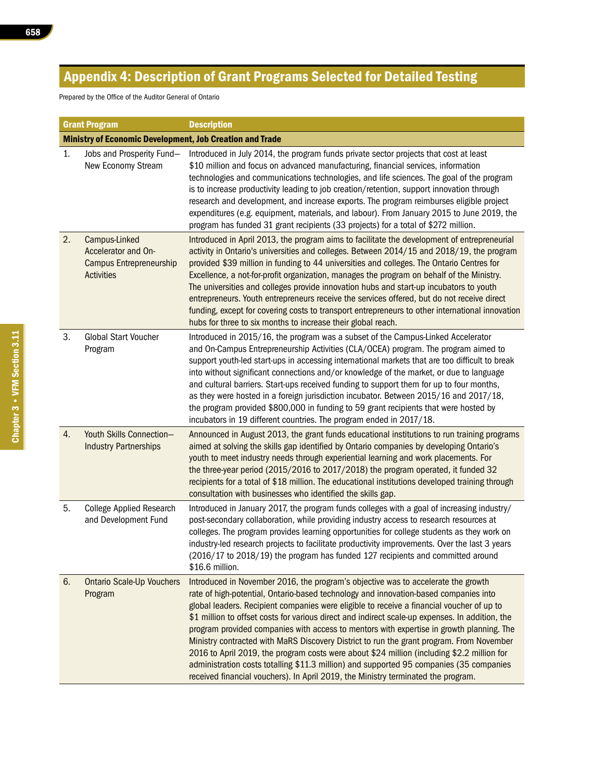# Appendix 4: Description of Grant Programs Selected for Detailed Testing

Prepared by the Office of the Auditor General of Ontario

|    | <b>Grant Program</b>                                                                        | <b>Description</b>                                                                                                                                                                                                                                                                                                                                                                                                                                                                                                                                                                                                                                                                                                                                                                                                                              |
|----|---------------------------------------------------------------------------------------------|-------------------------------------------------------------------------------------------------------------------------------------------------------------------------------------------------------------------------------------------------------------------------------------------------------------------------------------------------------------------------------------------------------------------------------------------------------------------------------------------------------------------------------------------------------------------------------------------------------------------------------------------------------------------------------------------------------------------------------------------------------------------------------------------------------------------------------------------------|
|    | <b>Ministry of Economic Development, Job Creation and Trade</b>                             |                                                                                                                                                                                                                                                                                                                                                                                                                                                                                                                                                                                                                                                                                                                                                                                                                                                 |
| 1. | Jobs and Prosperity Fund-<br>New Economy Stream                                             | Introduced in July 2014, the program funds private sector projects that cost at least<br>\$10 million and focus on advanced manufacturing, financial services, information<br>technologies and communications technologies, and life sciences. The goal of the program<br>is to increase productivity leading to job creation/retention, support innovation through<br>research and development, and increase exports. The program reimburses eligible project<br>expenditures (e.g. equipment, materials, and labour). From January 2015 to June 2019, the<br>program has funded 31 grant recipients (33 projects) for a total of \$272 million.                                                                                                                                                                                               |
| 2. | Campus-Linked<br>Accelerator and On-<br><b>Campus Entrepreneurship</b><br><b>Activities</b> | Introduced in April 2013, the program aims to facilitate the development of entrepreneurial<br>activity in Ontario's universities and colleges. Between 2014/15 and 2018/19, the program<br>provided \$39 million in funding to 44 universities and colleges. The Ontario Centres for<br>Excellence, a not-for-profit organization, manages the program on behalf of the Ministry.<br>The universities and colleges provide innovation hubs and start-up incubators to youth<br>entrepreneurs. Youth entrepreneurs receive the services offered, but do not receive direct<br>funding, except for covering costs to transport entrepreneurs to other international innovation<br>hubs for three to six months to increase their global reach.                                                                                                   |
| 3. | <b>Global Start Voucher</b><br>Program                                                      | Introduced in 2015/16, the program was a subset of the Campus-Linked Accelerator<br>and On-Campus Entrepreneurship Activities (CLA/OCEA) program. The program aimed to<br>support youth-led start-ups in accessing international markets that are too difficult to break<br>into without significant connections and/or knowledge of the market, or due to language<br>and cultural barriers. Start-ups received funding to support them for up to four months,<br>as they were hosted in a foreign jurisdiction incubator. Between 2015/16 and 2017/18,<br>the program provided \$800,000 in funding to 59 grant recipients that were hosted by<br>incubators in 19 different countries. The program ended in 2017/18.                                                                                                                         |
| 4. | Youth Skills Connection-<br><b>Industry Partnerships</b>                                    | Announced in August 2013, the grant funds educational institutions to run training programs<br>aimed at solving the skills gap identified by Ontario companies by developing Ontario's<br>youth to meet industry needs through experiential learning and work placements. For<br>the three-year period (2015/2016 to 2017/2018) the program operated, it funded 32<br>recipients for a total of \$18 million. The educational institutions developed training through<br>consultation with businesses who identified the skills gap.                                                                                                                                                                                                                                                                                                            |
| 5. | <b>College Applied Research</b><br>and Development Fund                                     | Introduced in January 2017, the program funds colleges with a goal of increasing industry/<br>post-secondary collaboration, while providing industry access to research resources at<br>colleges. The program provides learning opportunities for college students as they work on<br>industry-led research projects to facilitate productivity improvements. Over the last 3 years<br>(2016/17 to 2018/19) the program has funded 127 recipients and committed around<br>\$16.6 million.                                                                                                                                                                                                                                                                                                                                                       |
| 6. | <b>Ontario Scale-Up Vouchers</b><br>Program                                                 | Introduced in November 2016, the program's objective was to accelerate the growth<br>rate of high-potential, Ontario-based technology and innovation-based companies into<br>global leaders. Recipient companies were eligible to receive a financial voucher of up to<br>\$1 million to offset costs for various direct and indirect scale-up expenses. In addition, the<br>program provided companies with access to mentors with expertise in growth planning. The<br>Ministry contracted with MaRS Discovery District to run the grant program. From November<br>2016 to April 2019, the program costs were about \$24 million (including \$2.2 million for<br>administration costs totalling \$11.3 million) and supported 95 companies (35 companies<br>received financial vouchers). In April 2019, the Ministry terminated the program. |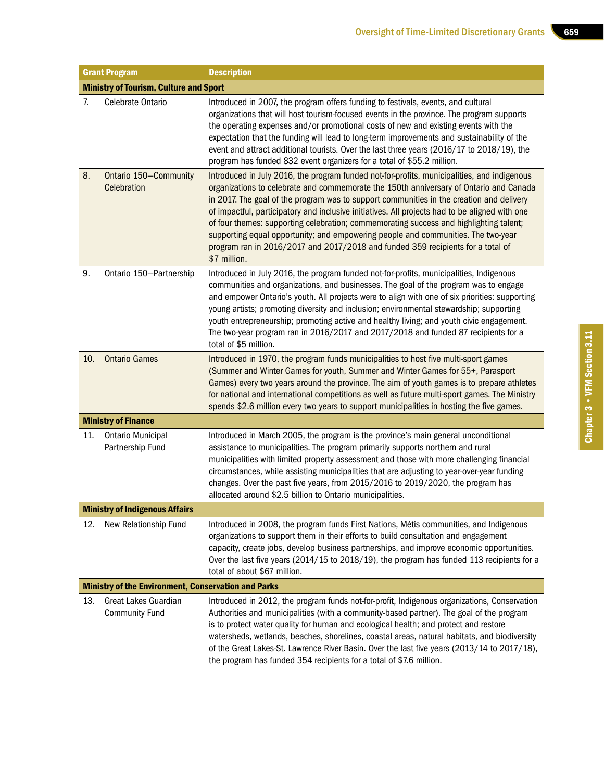|     | <b>Grant Program</b>                                       | <b>Description</b>                                                                                                                                                                                                                                                                                                                                                                                                                                                                                                                                                                                                                                                    |
|-----|------------------------------------------------------------|-----------------------------------------------------------------------------------------------------------------------------------------------------------------------------------------------------------------------------------------------------------------------------------------------------------------------------------------------------------------------------------------------------------------------------------------------------------------------------------------------------------------------------------------------------------------------------------------------------------------------------------------------------------------------|
|     | <b>Ministry of Tourism, Culture and Sport</b>              |                                                                                                                                                                                                                                                                                                                                                                                                                                                                                                                                                                                                                                                                       |
| 7.  | Celebrate Ontario                                          | Introduced in 2007, the program offers funding to festivals, events, and cultural<br>organizations that will host tourism-focused events in the province. The program supports<br>the operating expenses and/or promotional costs of new and existing events with the<br>expectation that the funding will lead to long-term improvements and sustainability of the<br>event and attract additional tourists. Over the last three years (2016/17 to 2018/19), the<br>program has funded 832 event organizers for a total of \$55.2 million.                                                                                                                           |
| 8.  | Ontario 150-Community<br>Celebration                       | Introduced in July 2016, the program funded not-for-profits, municipalities, and indigenous<br>organizations to celebrate and commemorate the 150th anniversary of Ontario and Canada<br>in 2017. The goal of the program was to support communities in the creation and delivery<br>of impactful, participatory and inclusive initiatives. All projects had to be aligned with one<br>of four themes: supporting celebration; commemorating success and highlighting talent;<br>supporting equal opportunity; and empowering people and communities. The two-year<br>program ran in 2016/2017 and 2017/2018 and funded 359 recipients for a total of<br>\$7 million. |
| 9.  | Ontario 150-Partnership                                    | Introduced in July 2016, the program funded not-for-profits, municipalities, Indigenous<br>communities and organizations, and businesses. The goal of the program was to engage<br>and empower Ontario's youth. All projects were to align with one of six priorities: supporting<br>young artists; promoting diversity and inclusion; environmental stewardship; supporting<br>youth entrepreneurship; promoting active and healthy living; and youth civic engagement.<br>The two-year program ran in 2016/2017 and 2017/2018 and funded 87 recipients for a<br>total of \$5 million.                                                                               |
| 10. | <b>Ontario Games</b>                                       | Introduced in 1970, the program funds municipalities to host five multi-sport games<br>(Summer and Winter Games for youth, Summer and Winter Games for 55+, Parasport<br>Games) every two years around the province. The aim of youth games is to prepare athletes<br>for national and international competitions as well as future multi-sport games. The Ministry<br>spends \$2.6 million every two years to support municipalities in hosting the five games.                                                                                                                                                                                                      |
|     | <b>Ministry of Finance</b>                                 |                                                                                                                                                                                                                                                                                                                                                                                                                                                                                                                                                                                                                                                                       |
| 11. | <b>Ontario Municipal</b><br>Partnership Fund               | Introduced in March 2005, the program is the province's main general unconditional<br>assistance to municipalities. The program primarily supports northern and rural<br>municipalities with limited property assessment and those with more challenging financial<br>circumstances, while assisting municipalities that are adjusting to year-over-year funding<br>changes. Over the past five years, from 2015/2016 to 2019/2020, the program has<br>allocated around \$2.5 billion to Ontario municipalities.                                                                                                                                                      |
|     | <b>Ministry of Indigenous Affairs</b>                      |                                                                                                                                                                                                                                                                                                                                                                                                                                                                                                                                                                                                                                                                       |
| 12. | New Relationship Fund                                      | Introduced in 2008, the program funds First Nations, Métis communities, and Indigenous<br>organizations to support them in their efforts to build consultation and engagement<br>capacity, create jobs, develop business partnerships, and improve economic opportunities.<br>Over the last five years (2014/15 to 2018/19), the program has funded 113 recipients for a<br>total of about \$67 million.                                                                                                                                                                                                                                                              |
|     | <b>Ministry of the Environment, Conservation and Parks</b> |                                                                                                                                                                                                                                                                                                                                                                                                                                                                                                                                                                                                                                                                       |
| 13. | Great Lakes Guardian<br><b>Community Fund</b>              | Introduced in 2012, the program funds not-for-profit, Indigenous organizations, Conservation<br>Authorities and municipalities (with a community-based partner). The goal of the program<br>is to protect water quality for human and ecological health; and protect and restore<br>watersheds, wetlands, beaches, shorelines, coastal areas, natural habitats, and biodiversity<br>of the Great Lakes-St. Lawrence River Basin. Over the last five years (2013/14 to 2017/18),<br>the program has funded 354 recipients for a total of \$7.6 million.                                                                                                                |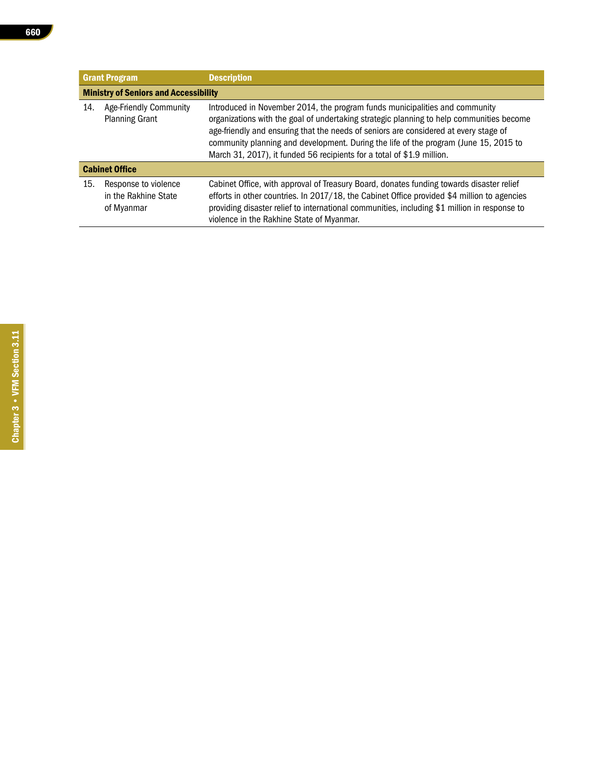|     | <b>Grant Program</b>                                       | <b>Description</b>                                                                                                                                                                                                                                                                                                                                                                                                                |
|-----|------------------------------------------------------------|-----------------------------------------------------------------------------------------------------------------------------------------------------------------------------------------------------------------------------------------------------------------------------------------------------------------------------------------------------------------------------------------------------------------------------------|
|     | <b>Ministry of Seniors and Accessibility</b>               |                                                                                                                                                                                                                                                                                                                                                                                                                                   |
| 14. | <b>Age-Friendly Community</b><br><b>Planning Grant</b>     | Introduced in November 2014, the program funds municipalities and community<br>organizations with the goal of undertaking strategic planning to help communities become<br>age-friendly and ensuring that the needs of seniors are considered at every stage of<br>community planning and development. During the life of the program (June 15, 2015 to<br>March 31, 2017), it funded 56 recipients for a total of \$1.9 million. |
|     | <b>Cabinet Office</b>                                      |                                                                                                                                                                                                                                                                                                                                                                                                                                   |
| 15. | Response to violence<br>in the Rakhine State<br>of Myanmar | Cabinet Office, with approval of Treasury Board, donates funding towards disaster relief<br>efforts in other countries. In 2017/18, the Cabinet Office provided \$4 million to agencies<br>providing disaster relief to international communities, including \$1 million in response to<br>violence in the Rakhine State of Myanmar.                                                                                              |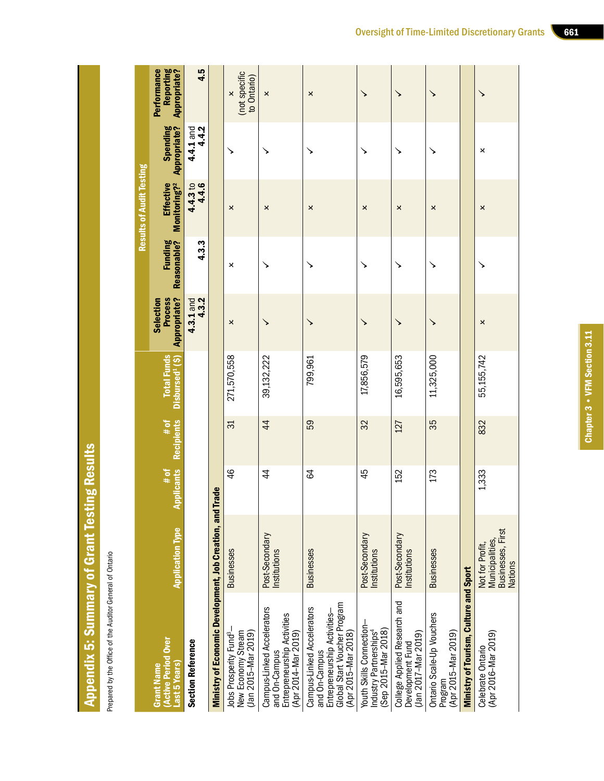| ו                    |
|----------------------|
|                      |
|                      |
|                      |
|                      |
|                      |
|                      |
|                      |
|                      |
|                      |
|                      |
|                      |
|                      |
|                      |
|                      |
|                      |
|                      |
|                      |
|                      |
|                      |
|                      |
| ĺ                    |
|                      |
|                      |
|                      |
|                      |
|                      |
|                      |
|                      |
|                      |
| $\ddot{\phantom{0}}$ |
|                      |
|                      |
|                      |
|                      |
|                      |
|                      |
|                      |
|                      |
|                      |
|                      |
|                      |
|                      |
|                      |
|                      |
| ٢                    |
|                      |
|                      |
|                      |
|                      |
|                      |
|                      |
|                      |
|                      |
|                      |
|                      |
|                      |
|                      |
|                      |
|                      |
|                      |
|                      |
|                      |
|                      |
|                      |
|                      |
| i                    |

Prepared by the Office of the Auditor General of Ontario Prepared by the Office of the Auditor General of Ontario

|                                                                                                                                    |                                                                                 |                           |                           |                                                   |                                                           |                        | <b>Results of Audit Testing</b>              |                          |                                                           |
|------------------------------------------------------------------------------------------------------------------------------------|---------------------------------------------------------------------------------|---------------------------|---------------------------|---------------------------------------------------|-----------------------------------------------------------|------------------------|----------------------------------------------|--------------------------|-----------------------------------------------------------|
| <b>Active Period Over</b><br>Last 5 Years<br><b>Grant Name</b>                                                                     | <b>Application Type</b>                                                         | <b>Applicants</b><br># of | <b>Recipients</b><br># of | <b>Total Funds</b><br>Disbursed <sup>1</sup> (\$) | <b>Process</b><br><b>Appropriate?</b><br><b>Selection</b> | Funding<br>Reasonable? | <b>Effective</b><br>Monitoring? <sup>2</sup> | Spending<br>Appropriate? | Reporting<br>Appropriate?<br>Performance                  |
| <b>Section Reference</b>                                                                                                           |                                                                                 |                           |                           |                                                   | $4.3.1$ and<br>$4.3.2$                                    | 4.3.3                  | 4.4.3 to<br>4.4.6                            | $4.4.1$ and<br>$4.4.2$   | 4.5                                                       |
| Ministry of Economic Development, Job Creation, and                                                                                |                                                                                 | <b>Trade</b>              |                           |                                                   |                                                           |                        |                                              |                          |                                                           |
| Jobs Prosperity Fund <sup>3</sup> -<br>New Economy Stream<br>(Jan 2015-Mar 2019)                                                   | <b>Businesses</b>                                                               | 46                        | 31                        | 271,570,558                                       | ×                                                         | ×                      | ×                                            |                          | (not specific<br>to Ontario)<br>$\boldsymbol{\mathsf{x}}$ |
| Campus-Linked Accelerators<br>Entrepreneurship Activities<br>(Apr 2014-Mar 2019)<br>and On-Campus                                  | Post-Secondary<br>nstitutions                                                   | $\ddot{4}$                | $\overline{4}$            | 39,132,222                                        | ↘                                                         | ↘                      | ×                                            | ↘                        | ×                                                         |
| Global Start Voucher Program<br>Campus-Linked Accelerators<br>Entrepreneurship Activities-<br>(Apr 2015-Mar 2018)<br>and On-Campus | <b>Businesses</b>                                                               | S4                        | 59                        | 799,961                                           |                                                           | ↘                      | ×                                            |                          | ×                                                         |
| Youth Skills Connection-<br>Industry Partnerships <sup>4</sup><br>(Sep 2015-Mar 2018)                                              | Post-Secondary<br>Institutions                                                  | 45                        | 32                        | 17,856,579                                        |                                                           |                        | ×                                            |                          |                                                           |
| College Applied Research and<br>(Jan 2017-Mar 2019)<br>Development Fund                                                            | Post-Secondary<br>nstitutions                                                   | 152                       | 127                       | 16,595,653                                        | ↘                                                         | ↘                      | $\boldsymbol{\mathsf{x}}$                    | ↘                        | ↘                                                         |
| Ontario Scale-Up Vouchers<br>(Apr 2015-Mar 2019)<br>Program                                                                        | <b>Businesses</b>                                                               | 173                       | 35                        | 11,325,000                                        | ↘                                                         | ↘                      | ×                                            | ↘                        | ↘                                                         |
| Ministry of Tourism, Culture and Sport                                                                                             |                                                                                 |                           |                           |                                                   |                                                           |                        |                                              |                          |                                                           |
| (Apr 2016-Mar 2019)<br>Celebrate Ontario                                                                                           | Businesses, First<br><b>Municipalities</b><br>Not for Profit,<br><b>Nations</b> | 1,333                     | 832                       | 55,155,742                                        | ×                                                         |                        | ×                                            | ×                        |                                                           |